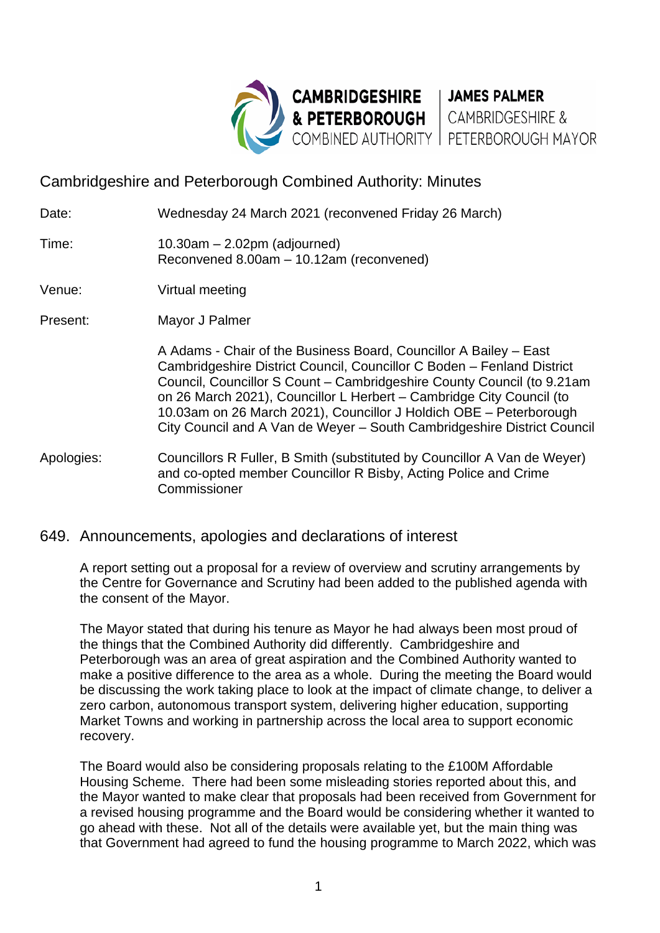

Cambridgeshire and Peterborough Combined Authority: Minutes

Date: Wednesday 24 March 2021 (reconvened Friday 26 March)

Time: 10.30am – 2.02pm (adjourned) Reconvened 8.00am – 10.12am (reconvened)

Venue: Virtual meeting

Present: Mayor J Palmer

A Adams - Chair of the Business Board, Councillor A Bailey – East Cambridgeshire District Council, Councillor C Boden – Fenland District Council, Councillor S Count – Cambridgeshire County Council (to 9.21am on 26 March 2021), Councillor L Herbert – Cambridge City Council (to 10.03am on 26 March 2021), Councillor J Holdich OBE – Peterborough City Council and A Van de Weyer – South Cambridgeshire District Council

Apologies: Councillors R Fuller, B Smith (substituted by Councillor A Van de Weyer) and co-opted member Councillor R Bisby, Acting Police and Crime Commissioner

# 649. Announcements, apologies and declarations of interest

A report setting out a proposal for a review of overview and scrutiny arrangements by the Centre for Governance and Scrutiny had been added to the published agenda with the consent of the Mayor.

The Mayor stated that during his tenure as Mayor he had always been most proud of the things that the Combined Authority did differently. Cambridgeshire and Peterborough was an area of great aspiration and the Combined Authority wanted to make a positive difference to the area as a whole. During the meeting the Board would be discussing the work taking place to look at the impact of climate change, to deliver a zero carbon, autonomous transport system, delivering higher education, supporting Market Towns and working in partnership across the local area to support economic recovery.

The Board would also be considering proposals relating to the £100M Affordable Housing Scheme. There had been some misleading stories reported about this, and the Mayor wanted to make clear that proposals had been received from Government for a revised housing programme and the Board would be considering whether it wanted to go ahead with these. Not all of the details were available yet, but the main thing was that Government had agreed to fund the housing programme to March 2022, which was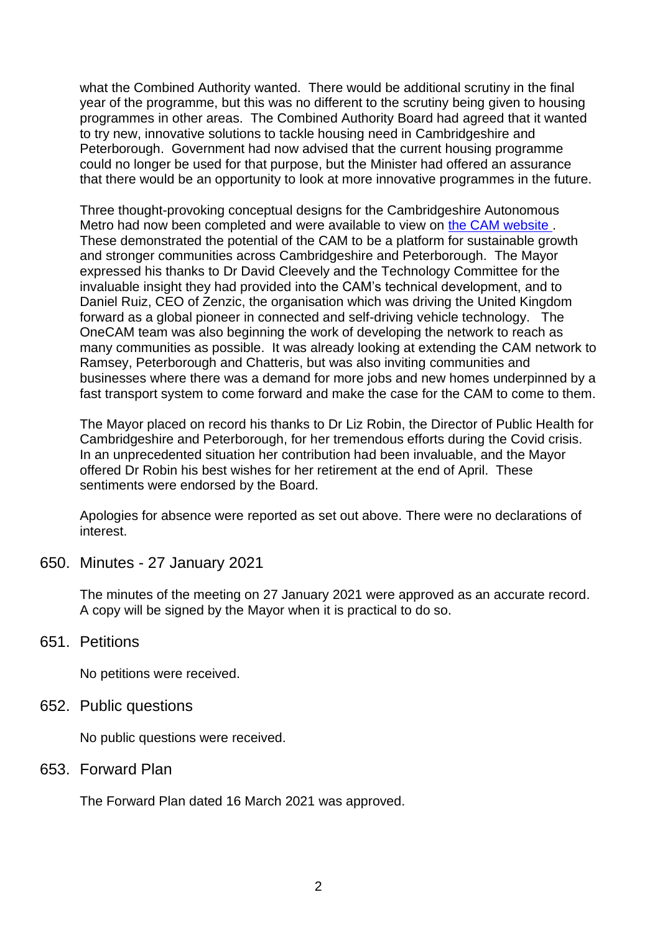what the Combined Authority wanted. There would be additional scrutiny in the final year of the programme, but this was no different to the scrutiny being given to housing programmes in other areas. The Combined Authority Board had agreed that it wanted to try new, innovative solutions to tackle housing need in Cambridgeshire and Peterborough. Government had now advised that the current housing programme could no longer be used for that purpose, but the Minister had offered an assurance that there would be an opportunity to look at more innovative programmes in the future.

Three thought-provoking conceptual designs for the Cambridgeshire Autonomous Metro had now been completed and were available to view on [the CAM website .](https://cam-metro.co.uk/conceptual-designs/) These demonstrated the potential of the CAM to be a platform for sustainable growth and stronger communities across Cambridgeshire and Peterborough. The Mayor expressed his thanks to Dr David Cleevely and the Technology Committee for the invaluable insight they had provided into the CAM's technical development, and to Daniel Ruiz, CEO of Zenzic, the organisation which was driving the United Kingdom forward as a global pioneer in connected and self-driving vehicle technology. The OneCAM team was also beginning the work of developing the network to reach as many communities as possible. It was already looking at extending the CAM network to Ramsey, Peterborough and Chatteris, but was also inviting communities and businesses where there was a demand for more jobs and new homes underpinned by a fast transport system to come forward and make the case for the CAM to come to them.

The Mayor placed on record his thanks to Dr Liz Robin, the Director of Public Health for Cambridgeshire and Peterborough, for her tremendous efforts during the Covid crisis. In an unprecedented situation her contribution had been invaluable, and the Mayor offered Dr Robin his best wishes for her retirement at the end of April. These sentiments were endorsed by the Board.

Apologies for absence were reported as set out above. There were no declarations of interest.

650. Minutes - 27 January 2021

The minutes of the meeting on 27 January 2021 were approved as an accurate record. A copy will be signed by the Mayor when it is practical to do so.

### 651. Petitions

No petitions were received.

652. Public questions

No public questions were received.

653. Forward Plan

The Forward Plan dated 16 March 2021 was approved.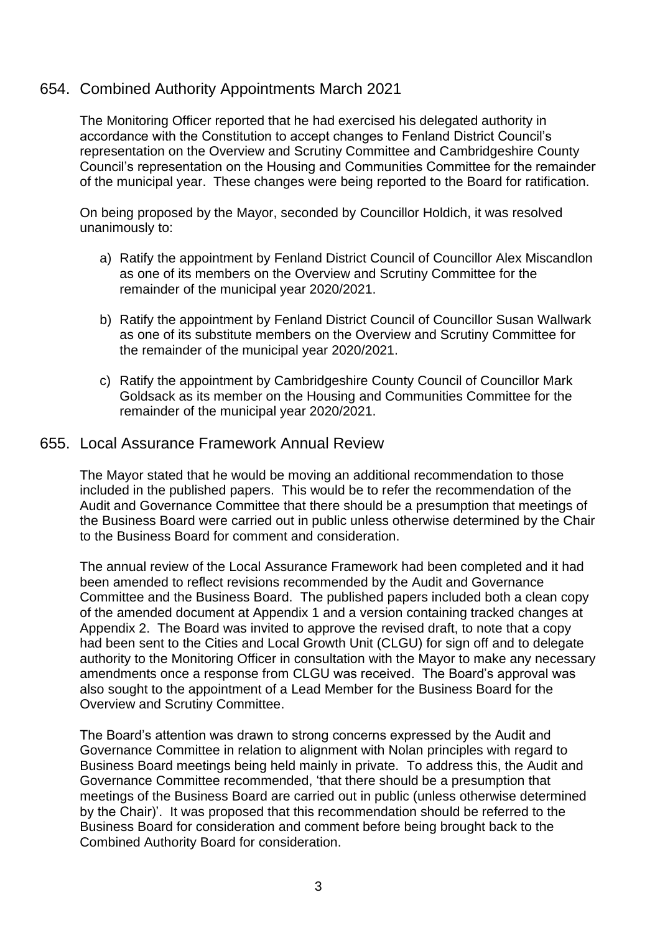## 654. Combined Authority Appointments March 2021

The Monitoring Officer reported that he had exercised his delegated authority in accordance with the Constitution to accept changes to Fenland District Council's representation on the Overview and Scrutiny Committee and Cambridgeshire County Council's representation on the Housing and Communities Committee for the remainder of the municipal year. These changes were being reported to the Board for ratification.

On being proposed by the Mayor, seconded by Councillor Holdich, it was resolved unanimously to:

- a) Ratify the appointment by Fenland District Council of Councillor Alex Miscandlon as one of its members on the Overview and Scrutiny Committee for the remainder of the municipal year 2020/2021.
- b) Ratify the appointment by Fenland District Council of Councillor Susan Wallwark as one of its substitute members on the Overview and Scrutiny Committee for the remainder of the municipal year 2020/2021.
- c) Ratify the appointment by Cambridgeshire County Council of Councillor Mark Goldsack as its member on the Housing and Communities Committee for the remainder of the municipal year 2020/2021.

#### 655. Local Assurance Framework Annual Review

The Mayor stated that he would be moving an additional recommendation to those included in the published papers. This would be to refer the recommendation of the Audit and Governance Committee that there should be a presumption that meetings of the Business Board were carried out in public unless otherwise determined by the Chair to the Business Board for comment and consideration.

The annual review of the Local Assurance Framework had been completed and it had been amended to reflect revisions recommended by the Audit and Governance Committee and the Business Board. The published papers included both a clean copy of the amended document at Appendix 1 and a version containing tracked changes at Appendix 2. The Board was invited to approve the revised draft, to note that a copy had been sent to the Cities and Local Growth Unit (CLGU) for sign off and to delegate authority to the Monitoring Officer in consultation with the Mayor to make any necessary amendments once a response from CLGU was received. The Board's approval was also sought to the appointment of a Lead Member for the Business Board for the Overview and Scrutiny Committee.

The Board's attention was drawn to strong concerns expressed by the Audit and Governance Committee in relation to alignment with Nolan principles with regard to Business Board meetings being held mainly in private. To address this, the Audit and Governance Committee recommended, 'that there should be a presumption that meetings of the Business Board are carried out in public (unless otherwise determined by the Chair)'. It was proposed that this recommendation should be referred to the Business Board for consideration and comment before being brought back to the Combined Authority Board for consideration.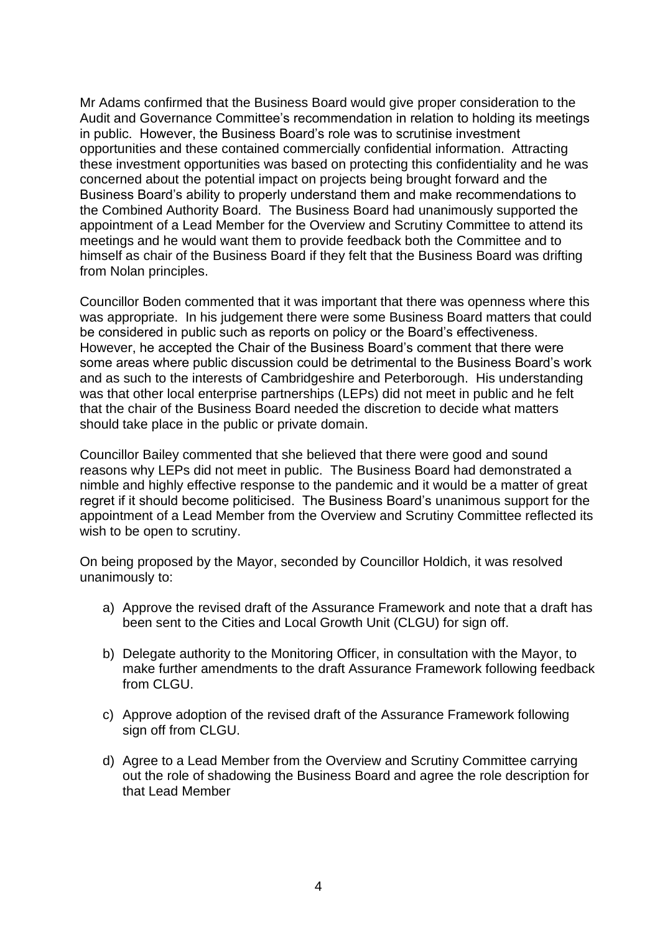Mr Adams confirmed that the Business Board would give proper consideration to the Audit and Governance Committee's recommendation in relation to holding its meetings in public. However, the Business Board's role was to scrutinise investment opportunities and these contained commercially confidential information. Attracting these investment opportunities was based on protecting this confidentiality and he was concerned about the potential impact on projects being brought forward and the Business Board's ability to properly understand them and make recommendations to the Combined Authority Board. The Business Board had unanimously supported the appointment of a Lead Member for the Overview and Scrutiny Committee to attend its meetings and he would want them to provide feedback both the Committee and to himself as chair of the Business Board if they felt that the Business Board was drifting from Nolan principles.

Councillor Boden commented that it was important that there was openness where this was appropriate. In his judgement there were some Business Board matters that could be considered in public such as reports on policy or the Board's effectiveness. However, he accepted the Chair of the Business Board's comment that there were some areas where public discussion could be detrimental to the Business Board's work and as such to the interests of Cambridgeshire and Peterborough. His understanding was that other local enterprise partnerships (LEPs) did not meet in public and he felt that the chair of the Business Board needed the discretion to decide what matters should take place in the public or private domain.

Councillor Bailey commented that she believed that there were good and sound reasons why LEPs did not meet in public. The Business Board had demonstrated a nimble and highly effective response to the pandemic and it would be a matter of great regret if it should become politicised. The Business Board's unanimous support for the appointment of a Lead Member from the Overview and Scrutiny Committee reflected its wish to be open to scrutiny.

On being proposed by the Mayor, seconded by Councillor Holdich, it was resolved unanimously to:

- a) Approve the revised draft of the Assurance Framework and note that a draft has been sent to the Cities and Local Growth Unit (CLGU) for sign off.
- b) Delegate authority to the Monitoring Officer, in consultation with the Mayor, to make further amendments to the draft Assurance Framework following feedback from CLGU.
- c) Approve adoption of the revised draft of the Assurance Framework following sign off from CLGU.
- d) Agree to a Lead Member from the Overview and Scrutiny Committee carrying out the role of shadowing the Business Board and agree the role description for that Lead Member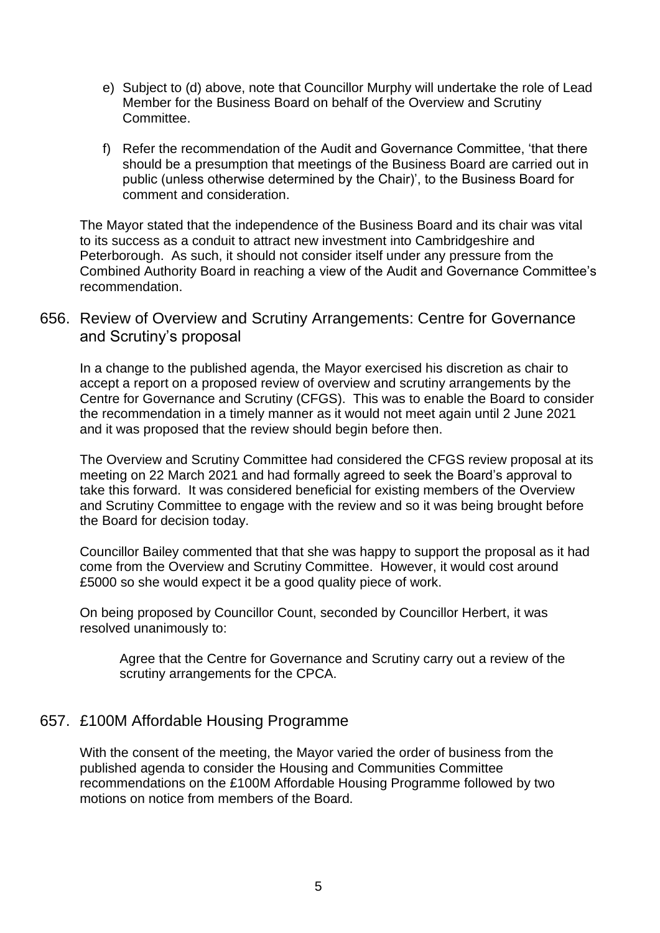- e) Subject to (d) above, note that Councillor Murphy will undertake the role of Lead Member for the Business Board on behalf of the Overview and Scrutiny Committee.
- f) Refer the recommendation of the Audit and Governance Committee, 'that there should be a presumption that meetings of the Business Board are carried out in public (unless otherwise determined by the Chair)', to the Business Board for comment and consideration.

The Mayor stated that the independence of the Business Board and its chair was vital to its success as a conduit to attract new investment into Cambridgeshire and Peterborough. As such, it should not consider itself under any pressure from the Combined Authority Board in reaching a view of the Audit and Governance Committee's recommendation.

## 656. Review of Overview and Scrutiny Arrangements: Centre for Governance and Scrutiny's proposal

In a change to the published agenda, the Mayor exercised his discretion as chair to accept a report on a proposed review of overview and scrutiny arrangements by the Centre for Governance and Scrutiny (CFGS). This was to enable the Board to consider the recommendation in a timely manner as it would not meet again until 2 June 2021 and it was proposed that the review should begin before then.

The Overview and Scrutiny Committee had considered the CFGS review proposal at its meeting on 22 March 2021 and had formally agreed to seek the Board's approval to take this forward. It was considered beneficial for existing members of the Overview and Scrutiny Committee to engage with the review and so it was being brought before the Board for decision today.

Councillor Bailey commented that that she was happy to support the proposal as it had come from the Overview and Scrutiny Committee. However, it would cost around £5000 so she would expect it be a good quality piece of work.

On being proposed by Councillor Count, seconded by Councillor Herbert, it was resolved unanimously to:

Agree that the Centre for Governance and Scrutiny carry out a review of the scrutiny arrangements for the CPCA.

# 657. £100M Affordable Housing Programme

With the consent of the meeting, the Mayor varied the order of business from the published agenda to consider the Housing and Communities Committee recommendations on the £100M Affordable Housing Programme followed by two motions on notice from members of the Board.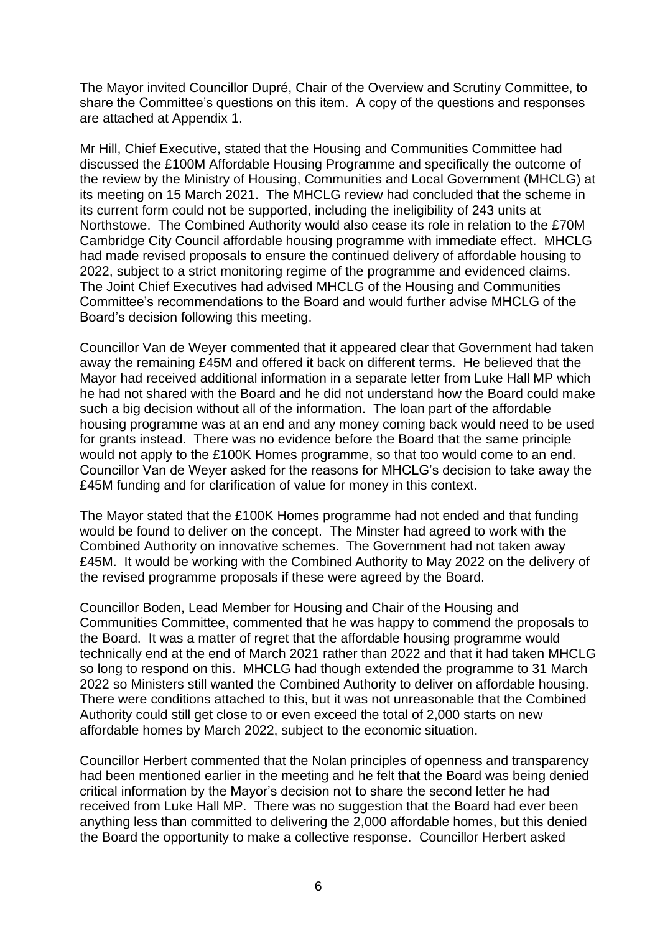The Mayor invited Councillor Dupré, Chair of the Overview and Scrutiny Committee, to share the Committee's questions on this item. A copy of the questions and responses are attached at Appendix 1.

Mr Hill, Chief Executive, stated that the Housing and Communities Committee had discussed the £100M Affordable Housing Programme and specifically the outcome of the review by the Ministry of Housing, Communities and Local Government (MHCLG) at its meeting on 15 March 2021. The MHCLG review had concluded that the scheme in its current form could not be supported, including the ineligibility of 243 units at Northstowe. The Combined Authority would also cease its role in relation to the £70M Cambridge City Council affordable housing programme with immediate effect. MHCLG had made revised proposals to ensure the continued delivery of affordable housing to 2022, subject to a strict monitoring regime of the programme and evidenced claims. The Joint Chief Executives had advised MHCLG of the Housing and Communities Committee's recommendations to the Board and would further advise MHCLG of the Board's decision following this meeting.

Councillor Van de Weyer commented that it appeared clear that Government had taken away the remaining £45M and offered it back on different terms. He believed that the Mayor had received additional information in a separate letter from Luke Hall MP which he had not shared with the Board and he did not understand how the Board could make such a big decision without all of the information. The loan part of the affordable housing programme was at an end and any money coming back would need to be used for grants instead. There was no evidence before the Board that the same principle would not apply to the £100K Homes programme, so that too would come to an end. Councillor Van de Weyer asked for the reasons for MHCLG's decision to take away the £45M funding and for clarification of value for money in this context.

The Mayor stated that the £100K Homes programme had not ended and that funding would be found to deliver on the concept. The Minster had agreed to work with the Combined Authority on innovative schemes. The Government had not taken away £45M. It would be working with the Combined Authority to May 2022 on the delivery of the revised programme proposals if these were agreed by the Board.

Councillor Boden, Lead Member for Housing and Chair of the Housing and Communities Committee, commented that he was happy to commend the proposals to the Board. It was a matter of regret that the affordable housing programme would technically end at the end of March 2021 rather than 2022 and that it had taken MHCLG so long to respond on this. MHCLG had though extended the programme to 31 March 2022 so Ministers still wanted the Combined Authority to deliver on affordable housing. There were conditions attached to this, but it was not unreasonable that the Combined Authority could still get close to or even exceed the total of 2,000 starts on new affordable homes by March 2022, subject to the economic situation.

Councillor Herbert commented that the Nolan principles of openness and transparency had been mentioned earlier in the meeting and he felt that the Board was being denied critical information by the Mayor's decision not to share the second letter he had received from Luke Hall MP. There was no suggestion that the Board had ever been anything less than committed to delivering the 2,000 affordable homes, but this denied the Board the opportunity to make a collective response. Councillor Herbert asked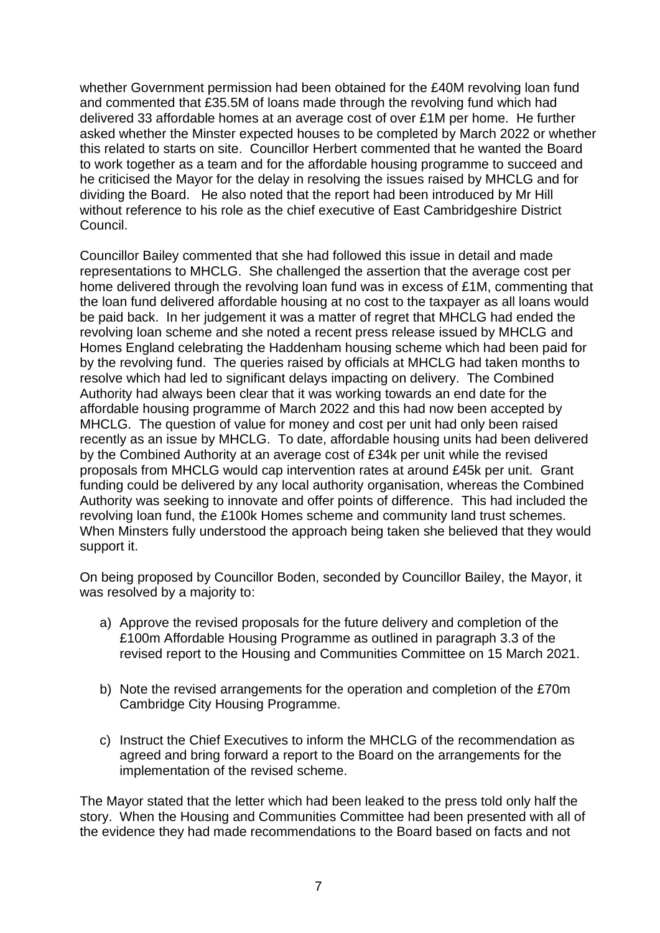whether Government permission had been obtained for the £40M revolving loan fund and commented that £35.5M of loans made through the revolving fund which had delivered 33 affordable homes at an average cost of over £1M per home. He further asked whether the Minster expected houses to be completed by March 2022 or whether this related to starts on site. Councillor Herbert commented that he wanted the Board to work together as a team and for the affordable housing programme to succeed and he criticised the Mayor for the delay in resolving the issues raised by MHCLG and for dividing the Board. He also noted that the report had been introduced by Mr Hill without reference to his role as the chief executive of East Cambridgeshire District Council.

Councillor Bailey commented that she had followed this issue in detail and made representations to MHCLG. She challenged the assertion that the average cost per home delivered through the revolving loan fund was in excess of £1M, commenting that the loan fund delivered affordable housing at no cost to the taxpayer as all loans would be paid back. In her judgement it was a matter of regret that MHCLG had ended the revolving loan scheme and she noted a recent press release issued by MHCLG and Homes England celebrating the Haddenham housing scheme which had been paid for by the revolving fund. The queries raised by officials at MHCLG had taken months to resolve which had led to significant delays impacting on delivery. The Combined Authority had always been clear that it was working towards an end date for the affordable housing programme of March 2022 and this had now been accepted by MHCLG. The question of value for money and cost per unit had only been raised recently as an issue by MHCLG. To date, affordable housing units had been delivered by the Combined Authority at an average cost of £34k per unit while the revised proposals from MHCLG would cap intervention rates at around £45k per unit. Grant funding could be delivered by any local authority organisation, whereas the Combined Authority was seeking to innovate and offer points of difference. This had included the revolving loan fund, the £100k Homes scheme and community land trust schemes. When Minsters fully understood the approach being taken she believed that they would support it.

On being proposed by Councillor Boden, seconded by Councillor Bailey, the Mayor, it was resolved by a majority to:

- a) Approve the revised proposals for the future delivery and completion of the £100m Affordable Housing Programme as outlined in paragraph 3.3 of the revised report to the Housing and Communities Committee on 15 March 2021.
- b) Note the revised arrangements for the operation and completion of the £70m Cambridge City Housing Programme.
- c) Instruct the Chief Executives to inform the MHCLG of the recommendation as agreed and bring forward a report to the Board on the arrangements for the implementation of the revised scheme.

The Mayor stated that the letter which had been leaked to the press told only half the story. When the Housing and Communities Committee had been presented with all of the evidence they had made recommendations to the Board based on facts and not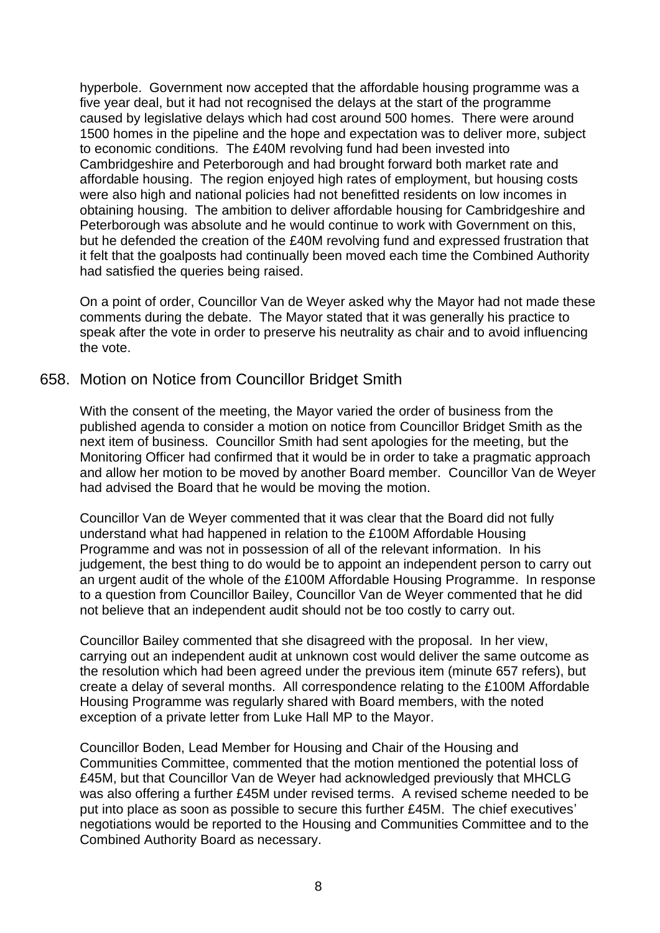hyperbole. Government now accepted that the affordable housing programme was a five year deal, but it had not recognised the delays at the start of the programme caused by legislative delays which had cost around 500 homes. There were around 1500 homes in the pipeline and the hope and expectation was to deliver more, subject to economic conditions. The £40M revolving fund had been invested into Cambridgeshire and Peterborough and had brought forward both market rate and affordable housing. The region enjoyed high rates of employment, but housing costs were also high and national policies had not benefitted residents on low incomes in obtaining housing. The ambition to deliver affordable housing for Cambridgeshire and Peterborough was absolute and he would continue to work with Government on this, but he defended the creation of the £40M revolving fund and expressed frustration that it felt that the goalposts had continually been moved each time the Combined Authority had satisfied the queries being raised.

On a point of order, Councillor Van de Weyer asked why the Mayor had not made these comments during the debate. The Mayor stated that it was generally his practice to speak after the vote in order to preserve his neutrality as chair and to avoid influencing the vote.

### 658. Motion on Notice from Councillor Bridget Smith

With the consent of the meeting, the Mayor varied the order of business from the published agenda to consider a motion on notice from Councillor Bridget Smith as the next item of business. Councillor Smith had sent apologies for the meeting, but the Monitoring Officer had confirmed that it would be in order to take a pragmatic approach and allow her motion to be moved by another Board member. Councillor Van de Weyer had advised the Board that he would be moving the motion.

Councillor Van de Weyer commented that it was clear that the Board did not fully understand what had happened in relation to the £100M Affordable Housing Programme and was not in possession of all of the relevant information. In his judgement, the best thing to do would be to appoint an independent person to carry out an urgent audit of the whole of the £100M Affordable Housing Programme. In response to a question from Councillor Bailey, Councillor Van de Weyer commented that he did not believe that an independent audit should not be too costly to carry out.

Councillor Bailey commented that she disagreed with the proposal. In her view, carrying out an independent audit at unknown cost would deliver the same outcome as the resolution which had been agreed under the previous item (minute 657 refers), but create a delay of several months. All correspondence relating to the £100M Affordable Housing Programme was regularly shared with Board members, with the noted exception of a private letter from Luke Hall MP to the Mayor.

Councillor Boden, Lead Member for Housing and Chair of the Housing and Communities Committee, commented that the motion mentioned the potential loss of £45M, but that Councillor Van de Weyer had acknowledged previously that MHCLG was also offering a further £45M under revised terms. A revised scheme needed to be put into place as soon as possible to secure this further £45M. The chief executives' negotiations would be reported to the Housing and Communities Committee and to the Combined Authority Board as necessary.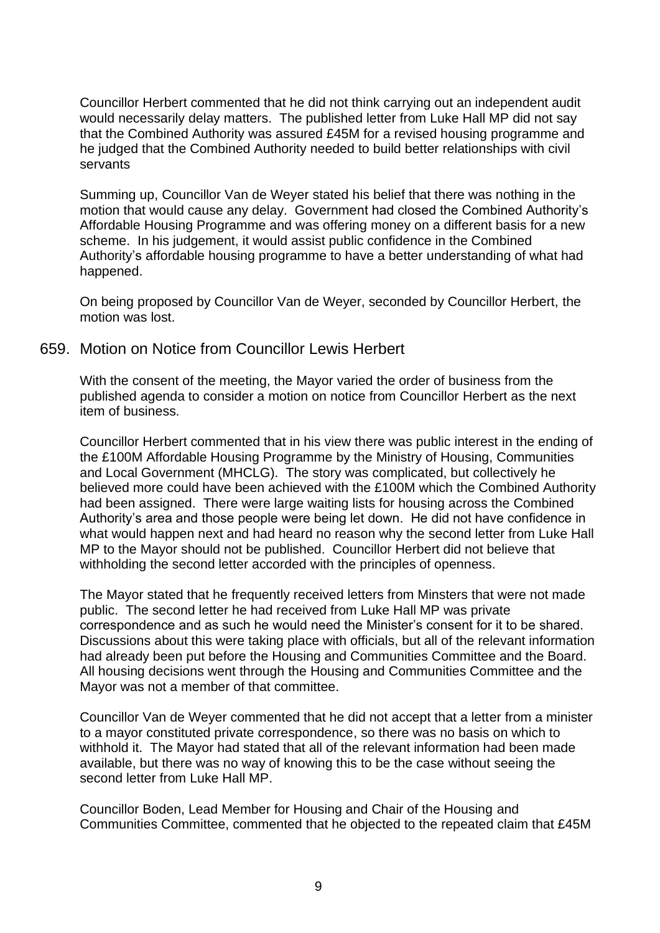Councillor Herbert commented that he did not think carrying out an independent audit would necessarily delay matters. The published letter from Luke Hall MP did not say that the Combined Authority was assured £45M for a revised housing programme and he judged that the Combined Authority needed to build better relationships with civil servants

Summing up, Councillor Van de Weyer stated his belief that there was nothing in the motion that would cause any delay. Government had closed the Combined Authority's Affordable Housing Programme and was offering money on a different basis for a new scheme. In his judgement, it would assist public confidence in the Combined Authority's affordable housing programme to have a better understanding of what had happened.

On being proposed by Councillor Van de Weyer, seconded by Councillor Herbert, the motion was lost.

### 659. Motion on Notice from Councillor Lewis Herbert

With the consent of the meeting, the Mayor varied the order of business from the published agenda to consider a motion on notice from Councillor Herbert as the next item of business.

Councillor Herbert commented that in his view there was public interest in the ending of the £100M Affordable Housing Programme by the Ministry of Housing, Communities and Local Government (MHCLG). The story was complicated, but collectively he believed more could have been achieved with the £100M which the Combined Authority had been assigned. There were large waiting lists for housing across the Combined Authority's area and those people were being let down. He did not have confidence in what would happen next and had heard no reason why the second letter from Luke Hall MP to the Mayor should not be published. Councillor Herbert did not believe that withholding the second letter accorded with the principles of openness.

The Mayor stated that he frequently received letters from Minsters that were not made public. The second letter he had received from Luke Hall MP was private correspondence and as such he would need the Minister's consent for it to be shared. Discussions about this were taking place with officials, but all of the relevant information had already been put before the Housing and Communities Committee and the Board. All housing decisions went through the Housing and Communities Committee and the Mayor was not a member of that committee.

Councillor Van de Weyer commented that he did not accept that a letter from a minister to a mayor constituted private correspondence, so there was no basis on which to withhold it. The Mayor had stated that all of the relevant information had been made available, but there was no way of knowing this to be the case without seeing the second letter from Luke Hall MP.

Councillor Boden, Lead Member for Housing and Chair of the Housing and Communities Committee, commented that he objected to the repeated claim that £45M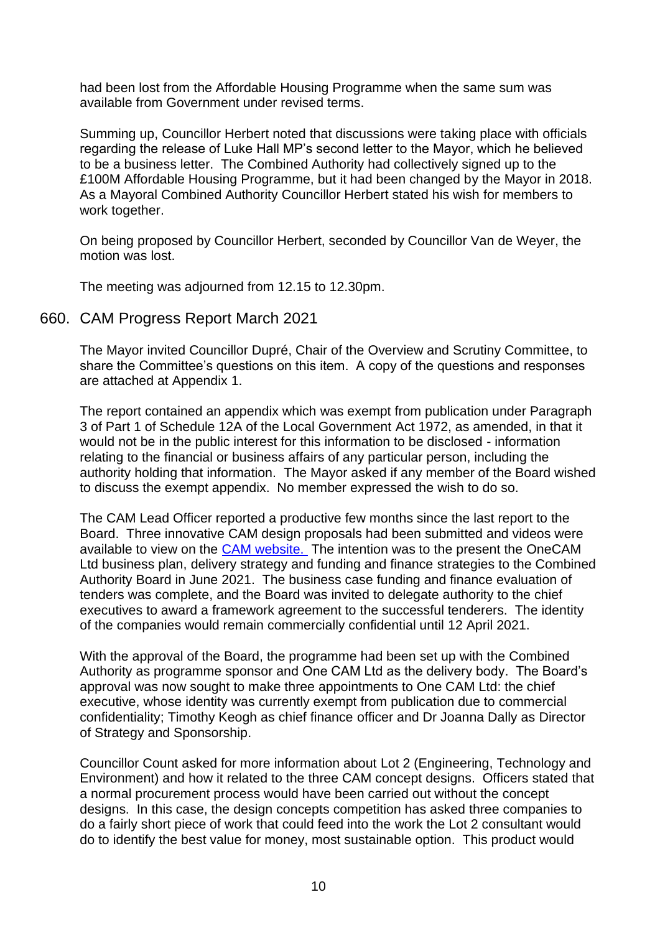had been lost from the Affordable Housing Programme when the same sum was available from Government under revised terms.

Summing up, Councillor Herbert noted that discussions were taking place with officials regarding the release of Luke Hall MP's second letter to the Mayor, which he believed to be a business letter. The Combined Authority had collectively signed up to the £100M Affordable Housing Programme, but it had been changed by the Mayor in 2018. As a Mayoral Combined Authority Councillor Herbert stated his wish for members to work together.

On being proposed by Councillor Herbert, seconded by Councillor Van de Weyer, the motion was lost.

The meeting was adjourned from 12.15 to 12.30pm.

#### 660. CAM Progress Report March 2021

The Mayor invited Councillor Dupré, Chair of the Overview and Scrutiny Committee, to share the Committee's questions on this item. A copy of the questions and responses are attached at Appendix 1.

The report contained an appendix which was exempt from publication under Paragraph 3 of Part 1 of Schedule 12A of the Local Government Act 1972, as amended, in that it would not be in the public interest for this information to be disclosed - information relating to the financial or business affairs of any particular person, including the authority holding that information. The Mayor asked if any member of the Board wished to discuss the exempt appendix. No member expressed the wish to do so.

The CAM Lead Officer reported a productive few months since the last report to the Board. Three innovative CAM design proposals had been submitted and videos were available to view on the [CAM website.](https://cam-metro.co.uk/conceptual-designs/) The intention was to the present the OneCAM Ltd business plan, delivery strategy and funding and finance strategies to the Combined Authority Board in June 2021. The business case funding and finance evaluation of tenders was complete, and the Board was invited to delegate authority to the chief executives to award a framework agreement to the successful tenderers. The identity of the companies would remain commercially confidential until 12 April 2021.

With the approval of the Board, the programme had been set up with the Combined Authority as programme sponsor and One CAM Ltd as the delivery body. The Board's approval was now sought to make three appointments to One CAM Ltd: the chief executive, whose identity was currently exempt from publication due to commercial confidentiality; Timothy Keogh as chief finance officer and Dr Joanna Dally as Director of Strategy and Sponsorship.

Councillor Count asked for more information about Lot 2 (Engineering, Technology and Environment) and how it related to the three CAM concept designs. Officers stated that a normal procurement process would have been carried out without the concept designs. In this case, the design concepts competition has asked three companies to do a fairly short piece of work that could feed into the work the Lot 2 consultant would do to identify the best value for money, most sustainable option. This product would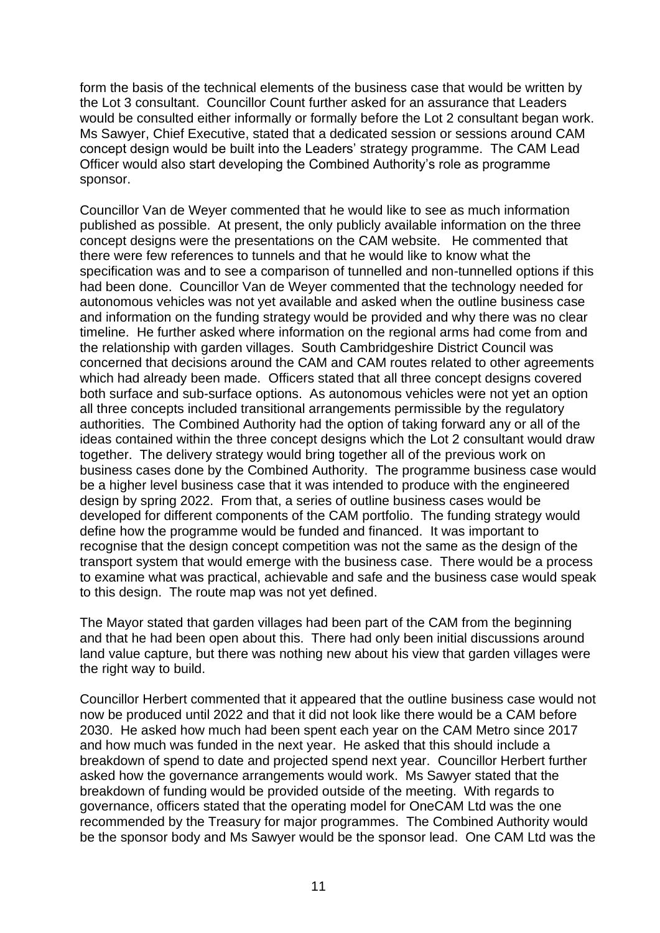form the basis of the technical elements of the business case that would be written by the Lot 3 consultant. Councillor Count further asked for an assurance that Leaders would be consulted either informally or formally before the Lot 2 consultant began work. Ms Sawyer, Chief Executive, stated that a dedicated session or sessions around CAM concept design would be built into the Leaders' strategy programme. The CAM Lead Officer would also start developing the Combined Authority's role as programme sponsor.

Councillor Van de Weyer commented that he would like to see as much information published as possible. At present, the only publicly available information on the three concept designs were the presentations on the CAM website. He commented that there were few references to tunnels and that he would like to know what the specification was and to see a comparison of tunnelled and non-tunnelled options if this had been done. Councillor Van de Weyer commented that the technology needed for autonomous vehicles was not yet available and asked when the outline business case and information on the funding strategy would be provided and why there was no clear timeline. He further asked where information on the regional arms had come from and the relationship with garden villages. South Cambridgeshire District Council was concerned that decisions around the CAM and CAM routes related to other agreements which had already been made. Officers stated that all three concept designs covered both surface and sub-surface options. As autonomous vehicles were not yet an option all three concepts included transitional arrangements permissible by the regulatory authorities. The Combined Authority had the option of taking forward any or all of the ideas contained within the three concept designs which the Lot 2 consultant would draw together. The delivery strategy would bring together all of the previous work on business cases done by the Combined Authority. The programme business case would be a higher level business case that it was intended to produce with the engineered design by spring 2022. From that, a series of outline business cases would be developed for different components of the CAM portfolio. The funding strategy would define how the programme would be funded and financed. It was important to recognise that the design concept competition was not the same as the design of the transport system that would emerge with the business case. There would be a process to examine what was practical, achievable and safe and the business case would speak to this design. The route map was not yet defined.

The Mayor stated that garden villages had been part of the CAM from the beginning and that he had been open about this. There had only been initial discussions around land value capture, but there was nothing new about his view that garden villages were the right way to build.

Councillor Herbert commented that it appeared that the outline business case would not now be produced until 2022 and that it did not look like there would be a CAM before 2030. He asked how much had been spent each year on the CAM Metro since 2017 and how much was funded in the next year. He asked that this should include a breakdown of spend to date and projected spend next year. Councillor Herbert further asked how the governance arrangements would work. Ms Sawyer stated that the breakdown of funding would be provided outside of the meeting. With regards to governance, officers stated that the operating model for OneCAM Ltd was the one recommended by the Treasury for major programmes. The Combined Authority would be the sponsor body and Ms Sawyer would be the sponsor lead. One CAM Ltd was the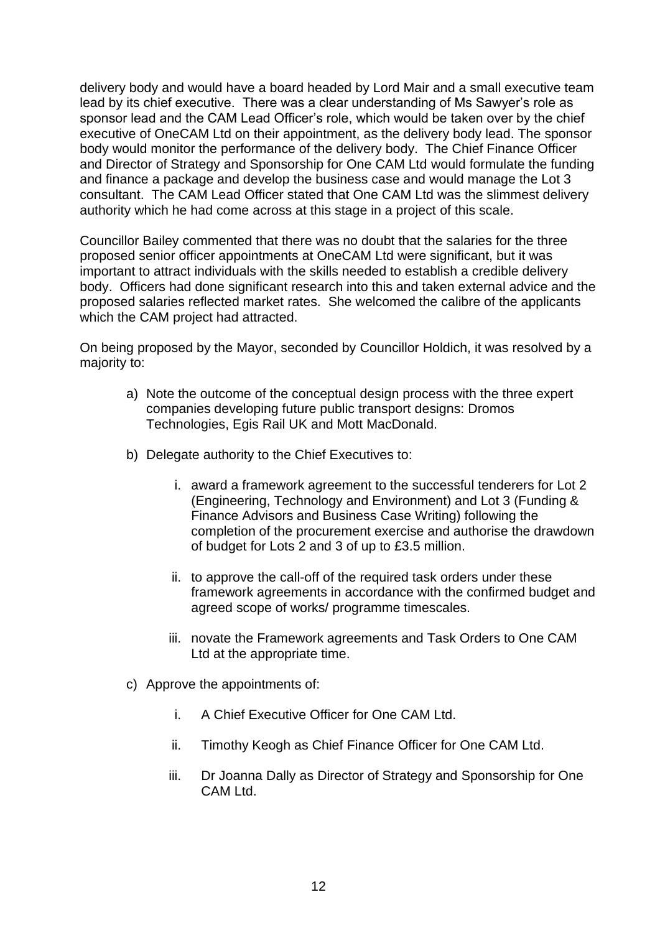delivery body and would have a board headed by Lord Mair and a small executive team lead by its chief executive. There was a clear understanding of Ms Sawyer's role as sponsor lead and the CAM Lead Officer's role, which would be taken over by the chief executive of OneCAM Ltd on their appointment, as the delivery body lead. The sponsor body would monitor the performance of the delivery body. The Chief Finance Officer and Director of Strategy and Sponsorship for One CAM Ltd would formulate the funding and finance a package and develop the business case and would manage the Lot 3 consultant. The CAM Lead Officer stated that One CAM Ltd was the slimmest delivery authority which he had come across at this stage in a project of this scale.

Councillor Bailey commented that there was no doubt that the salaries for the three proposed senior officer appointments at OneCAM Ltd were significant, but it was important to attract individuals with the skills needed to establish a credible delivery body. Officers had done significant research into this and taken external advice and the proposed salaries reflected market rates. She welcomed the calibre of the applicants which the CAM project had attracted.

On being proposed by the Mayor, seconded by Councillor Holdich, it was resolved by a majority to:

- a) Note the outcome of the conceptual design process with the three expert companies developing future public transport designs: Dromos Technologies, Egis Rail UK and Mott MacDonald.
- b) Delegate authority to the Chief Executives to:
	- i. award a framework agreement to the successful tenderers for Lot 2 (Engineering, Technology and Environment) and Lot 3 (Funding & Finance Advisors and Business Case Writing) following the completion of the procurement exercise and authorise the drawdown of budget for Lots 2 and 3 of up to £3.5 million.
	- ii. to approve the call-off of the required task orders under these framework agreements in accordance with the confirmed budget and agreed scope of works/ programme timescales.
	- iii. novate the Framework agreements and Task Orders to One CAM Ltd at the appropriate time.
- c) Approve the appointments of:
	- i. A Chief Executive Officer for One CAM Ltd.
	- ii. Timothy Keogh as Chief Finance Officer for One CAM Ltd.
	- iii. Dr Joanna Dally as Director of Strategy and Sponsorship for One CAM Ltd.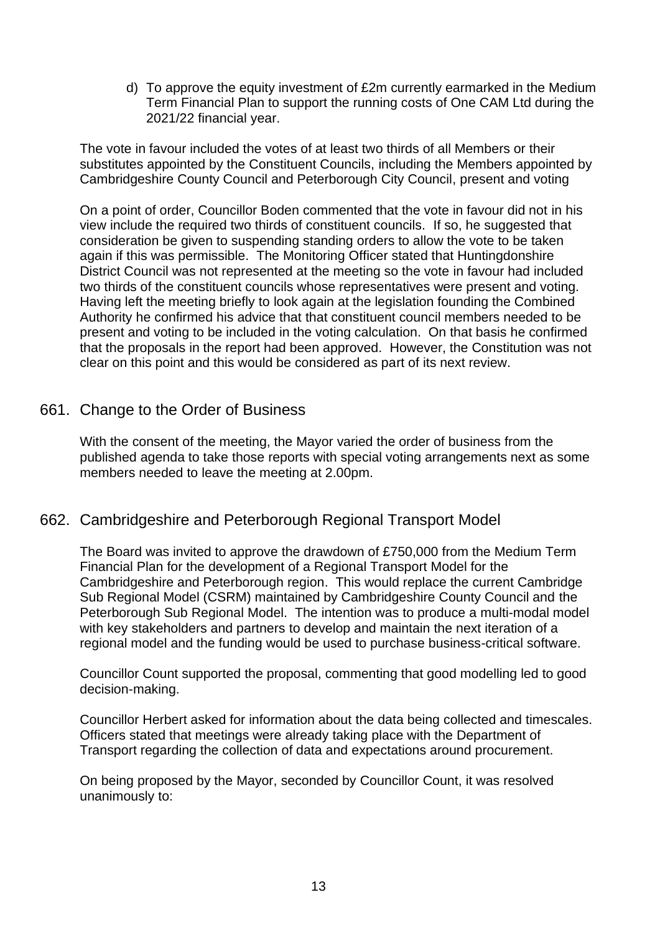d) To approve the equity investment of £2m currently earmarked in the Medium Term Financial Plan to support the running costs of One CAM Ltd during the 2021/22 financial year.

The vote in favour included the votes of at least two thirds of all Members or their substitutes appointed by the Constituent Councils, including the Members appointed by Cambridgeshire County Council and Peterborough City Council, present and voting

On a point of order, Councillor Boden commented that the vote in favour did not in his view include the required two thirds of constituent councils. If so, he suggested that consideration be given to suspending standing orders to allow the vote to be taken again if this was permissible. The Monitoring Officer stated that Huntingdonshire District Council was not represented at the meeting so the vote in favour had included two thirds of the constituent councils whose representatives were present and voting. Having left the meeting briefly to look again at the legislation founding the Combined Authority he confirmed his advice that that constituent council members needed to be present and voting to be included in the voting calculation. On that basis he confirmed that the proposals in the report had been approved. However, the Constitution was not clear on this point and this would be considered as part of its next review.

## 661. Change to the Order of Business

With the consent of the meeting, the Mayor varied the order of business from the published agenda to take those reports with special voting arrangements next as some members needed to leave the meeting at 2.00pm.

# 662. Cambridgeshire and Peterborough Regional Transport Model

The Board was invited to approve the drawdown of £750,000 from the Medium Term Financial Plan for the development of a Regional Transport Model for the Cambridgeshire and Peterborough region. This would replace the current Cambridge Sub Regional Model (CSRM) maintained by Cambridgeshire County Council and the Peterborough Sub Regional Model. The intention was to produce a multi-modal model with key stakeholders and partners to develop and maintain the next iteration of a regional model and the funding would be used to purchase business-critical software.

Councillor Count supported the proposal, commenting that good modelling led to good decision-making.

Councillor Herbert asked for information about the data being collected and timescales. Officers stated that meetings were already taking place with the Department of Transport regarding the collection of data and expectations around procurement.

On being proposed by the Mayor, seconded by Councillor Count, it was resolved unanimously to: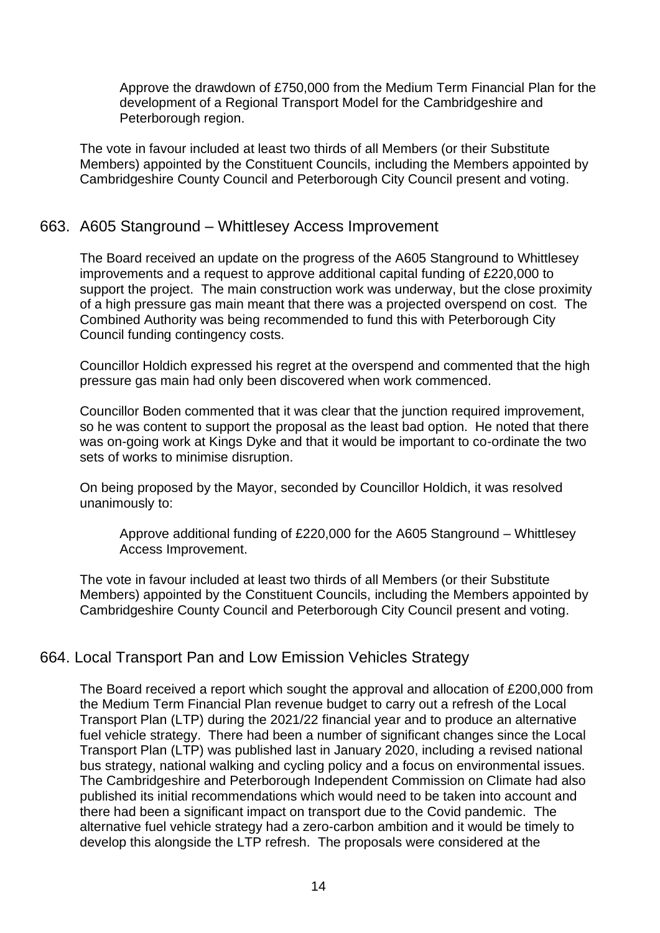Approve the drawdown of £750,000 from the Medium Term Financial Plan for the development of a Regional Transport Model for the Cambridgeshire and Peterborough region.

The vote in favour included at least two thirds of all Members (or their Substitute Members) appointed by the Constituent Councils, including the Members appointed by Cambridgeshire County Council and Peterborough City Council present and voting.

## 663. A605 Stanground – Whittlesey Access Improvement

The Board received an update on the progress of the A605 Stanground to Whittlesey improvements and a request to approve additional capital funding of £220,000 to support the project. The main construction work was underway, but the close proximity of a high pressure gas main meant that there was a projected overspend on cost. The Combined Authority was being recommended to fund this with Peterborough City Council funding contingency costs.

Councillor Holdich expressed his regret at the overspend and commented that the high pressure gas main had only been discovered when work commenced.

Councillor Boden commented that it was clear that the junction required improvement, so he was content to support the proposal as the least bad option. He noted that there was on-going work at Kings Dyke and that it would be important to co-ordinate the two sets of works to minimise disruption.

On being proposed by the Mayor, seconded by Councillor Holdich, it was resolved unanimously to:

Approve additional funding of £220,000 for the A605 Stanground – Whittlesey Access Improvement.

The vote in favour included at least two thirds of all Members (or their Substitute Members) appointed by the Constituent Councils, including the Members appointed by Cambridgeshire County Council and Peterborough City Council present and voting.

# 664. Local Transport Pan and Low Emission Vehicles Strategy

The Board received a report which sought the approval and allocation of £200,000 from the Medium Term Financial Plan revenue budget to carry out a refresh of the Local Transport Plan (LTP) during the 2021/22 financial year and to produce an alternative fuel vehicle strategy. There had been a number of significant changes since the Local Transport Plan (LTP) was published last in January 2020, including a revised national bus strategy, national walking and cycling policy and a focus on environmental issues. The Cambridgeshire and Peterborough Independent Commission on Climate had also published its initial recommendations which would need to be taken into account and there had been a significant impact on transport due to the Covid pandemic. The alternative fuel vehicle strategy had a zero-carbon ambition and it would be timely to develop this alongside the LTP refresh. The proposals were considered at the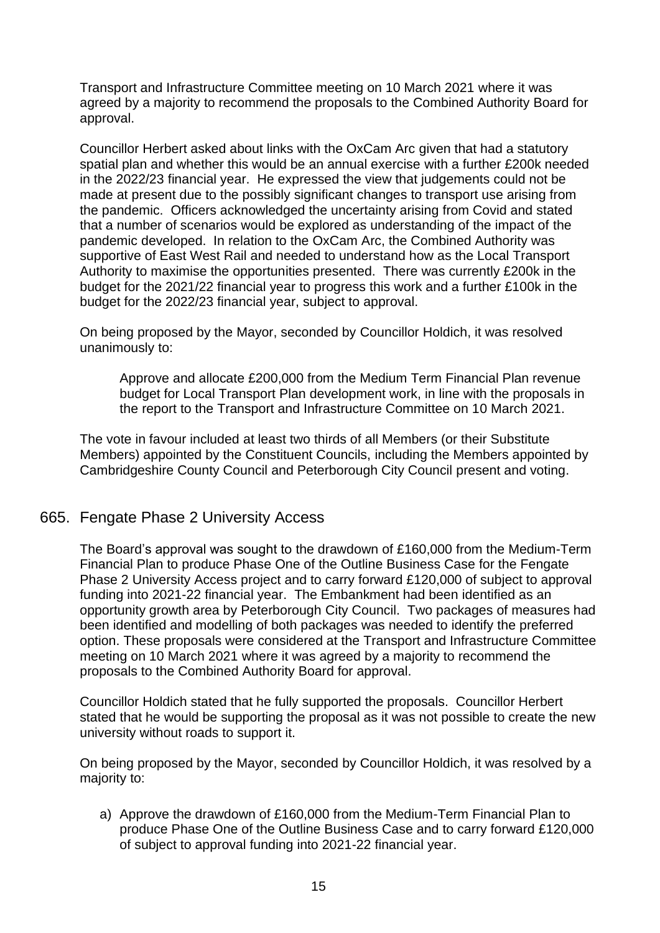Transport and Infrastructure Committee meeting on 10 March 2021 where it was agreed by a majority to recommend the proposals to the Combined Authority Board for approval.

Councillor Herbert asked about links with the OxCam Arc given that had a statutory spatial plan and whether this would be an annual exercise with a further £200k needed in the 2022/23 financial year. He expressed the view that judgements could not be made at present due to the possibly significant changes to transport use arising from the pandemic. Officers acknowledged the uncertainty arising from Covid and stated that a number of scenarios would be explored as understanding of the impact of the pandemic developed. In relation to the OxCam Arc, the Combined Authority was supportive of East West Rail and needed to understand how as the Local Transport Authority to maximise the opportunities presented. There was currently £200k in the budget for the 2021/22 financial year to progress this work and a further £100k in the budget for the 2022/23 financial year, subject to approval.

On being proposed by the Mayor, seconded by Councillor Holdich, it was resolved unanimously to:

Approve and allocate £200,000 from the Medium Term Financial Plan revenue budget for Local Transport Plan development work, in line with the proposals in the report to the Transport and Infrastructure Committee on 10 March 2021.

The vote in favour included at least two thirds of all Members (or their Substitute Members) appointed by the Constituent Councils, including the Members appointed by Cambridgeshire County Council and Peterborough City Council present and voting.

### 665. Fengate Phase 2 University Access

The Board's approval was sought to the drawdown of £160,000 from the Medium-Term Financial Plan to produce Phase One of the Outline Business Case for the Fengate Phase 2 University Access project and to carry forward £120,000 of subject to approval funding into 2021-22 financial year. The Embankment had been identified as an opportunity growth area by Peterborough City Council. Two packages of measures had been identified and modelling of both packages was needed to identify the preferred option. These proposals were considered at the Transport and Infrastructure Committee meeting on 10 March 2021 where it was agreed by a majority to recommend the proposals to the Combined Authority Board for approval.

Councillor Holdich stated that he fully supported the proposals. Councillor Herbert stated that he would be supporting the proposal as it was not possible to create the new university without roads to support it.

On being proposed by the Mayor, seconded by Councillor Holdich, it was resolved by a majority to:

a) Approve the drawdown of £160,000 from the Medium-Term Financial Plan to produce Phase One of the Outline Business Case and to carry forward £120,000 of subject to approval funding into 2021-22 financial year.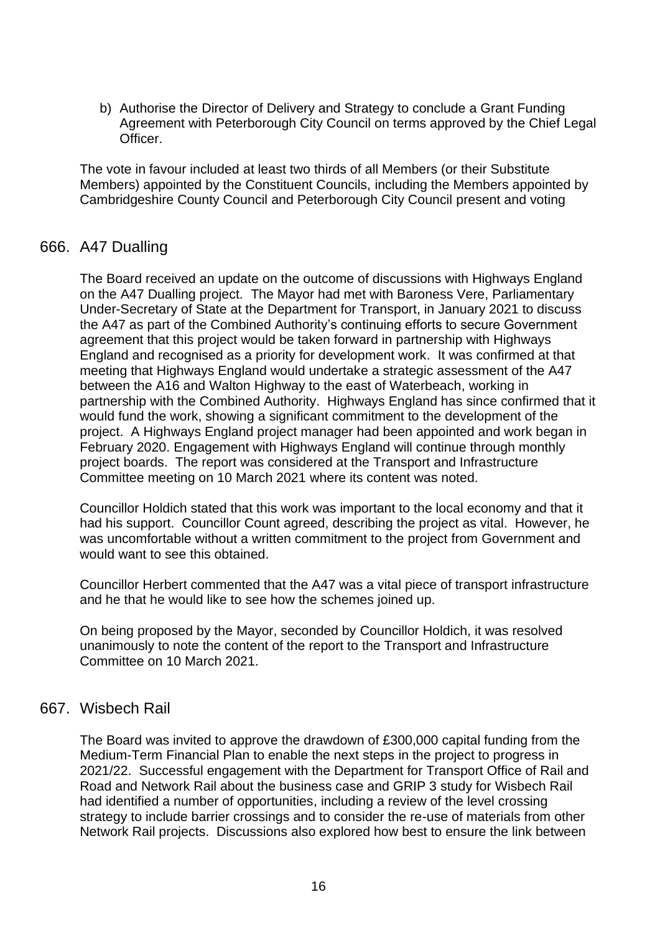b) Authorise the Director of Delivery and Strategy to conclude a Grant Funding Agreement with Peterborough City Council on terms approved by the Chief Legal Officer.

The vote in favour included at least two thirds of all Members (or their Substitute Members) appointed by the Constituent Councils, including the Members appointed by Cambridgeshire County Council and Peterborough City Council present and voting

### 666. A47 Dualling

The Board received an update on the outcome of discussions with Highways England on the A47 Dualling project. The Mayor had met with Baroness Vere, Parliamentary Under-Secretary of State at the Department for Transport, in January 2021 to discuss the A47 as part of the Combined Authority's continuing efforts to secure Government agreement that this project would be taken forward in partnership with Highways England and recognised as a priority for development work. It was confirmed at that meeting that Highways England would undertake a strategic assessment of the A47 between the A16 and Walton Highway to the east of Waterbeach, working in partnership with the Combined Authority. Highways England has since confirmed that it would fund the work, showing a significant commitment to the development of the project. A Highways England project manager had been appointed and work began in February 2020. Engagement with Highways England will continue through monthly project boards. The report was considered at the Transport and Infrastructure Committee meeting on 10 March 2021 where its content was noted.

Councillor Holdich stated that this work was important to the local economy and that it had his support. Councillor Count agreed, describing the project as vital. However, he was uncomfortable without a written commitment to the project from Government and would want to see this obtained.

Councillor Herbert commented that the A47 was a vital piece of transport infrastructure and he that he would like to see how the schemes joined up.

On being proposed by the Mayor, seconded by Councillor Holdich, it was resolved unanimously to note the content of the report to the Transport and Infrastructure Committee on 10 March 2021.

### 667. Wisbech Rail

The Board was invited to approve the drawdown of £300,000 capital funding from the Medium-Term Financial Plan to enable the next steps in the project to progress in 2021/22. Successful engagement with the Department for Transport Office of Rail and Road and Network Rail about the business case and GRIP 3 study for Wisbech Rail had identified a number of opportunities, including a review of the level crossing strategy to include barrier crossings and to consider the re-use of materials from other Network Rail projects. Discussions also explored how best to ensure the link between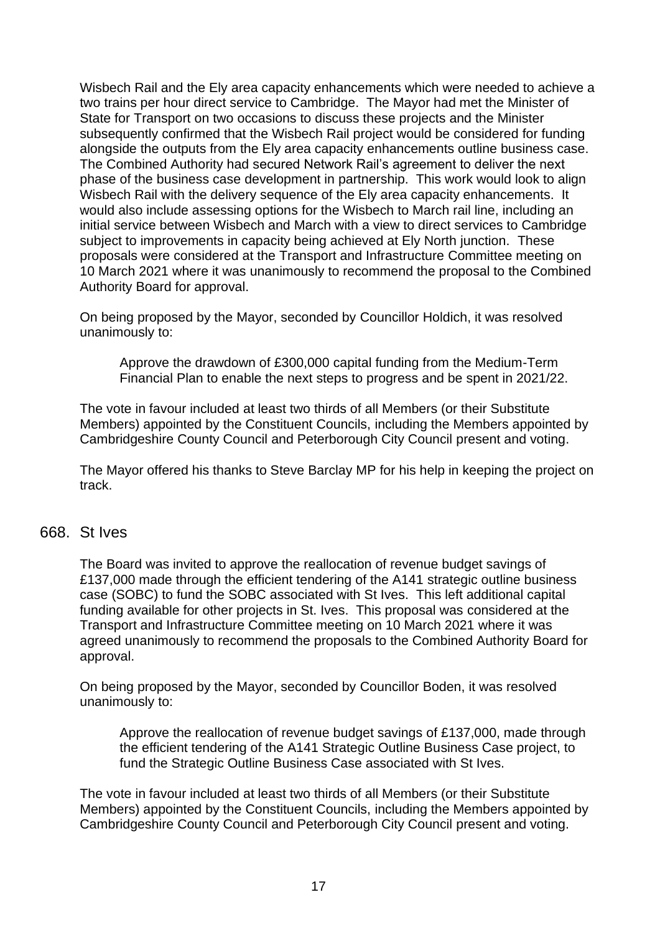Wisbech Rail and the Ely area capacity enhancements which were needed to achieve a two trains per hour direct service to Cambridge. The Mayor had met the Minister of State for Transport on two occasions to discuss these projects and the Minister subsequently confirmed that the Wisbech Rail project would be considered for funding alongside the outputs from the Ely area capacity enhancements outline business case. The Combined Authority had secured Network Rail's agreement to deliver the next phase of the business case development in partnership. This work would look to align Wisbech Rail with the delivery sequence of the Ely area capacity enhancements. It would also include assessing options for the Wisbech to March rail line, including an initial service between Wisbech and March with a view to direct services to Cambridge subject to improvements in capacity being achieved at Ely North junction. These proposals were considered at the Transport and Infrastructure Committee meeting on 10 March 2021 where it was unanimously to recommend the proposal to the Combined Authority Board for approval.

On being proposed by the Mayor, seconded by Councillor Holdich, it was resolved unanimously to:

Approve the drawdown of £300,000 capital funding from the Medium-Term Financial Plan to enable the next steps to progress and be spent in 2021/22.

The vote in favour included at least two thirds of all Members (or their Substitute Members) appointed by the Constituent Councils, including the Members appointed by Cambridgeshire County Council and Peterborough City Council present and voting.

The Mayor offered his thanks to Steve Barclay MP for his help in keeping the project on track.

#### 668. St Ives

The Board was invited to approve the reallocation of revenue budget savings of £137,000 made through the efficient tendering of the A141 strategic outline business case (SOBC) to fund the SOBC associated with St Ives. This left additional capital funding available for other projects in St. Ives. This proposal was considered at the Transport and Infrastructure Committee meeting on 10 March 2021 where it was agreed unanimously to recommend the proposals to the Combined Authority Board for approval.

On being proposed by the Mayor, seconded by Councillor Boden, it was resolved unanimously to:

Approve the reallocation of revenue budget savings of £137,000, made through the efficient tendering of the A141 Strategic Outline Business Case project, to fund the Strategic Outline Business Case associated with St Ives.

The vote in favour included at least two thirds of all Members (or their Substitute Members) appointed by the Constituent Councils, including the Members appointed by Cambridgeshire County Council and Peterborough City Council present and voting.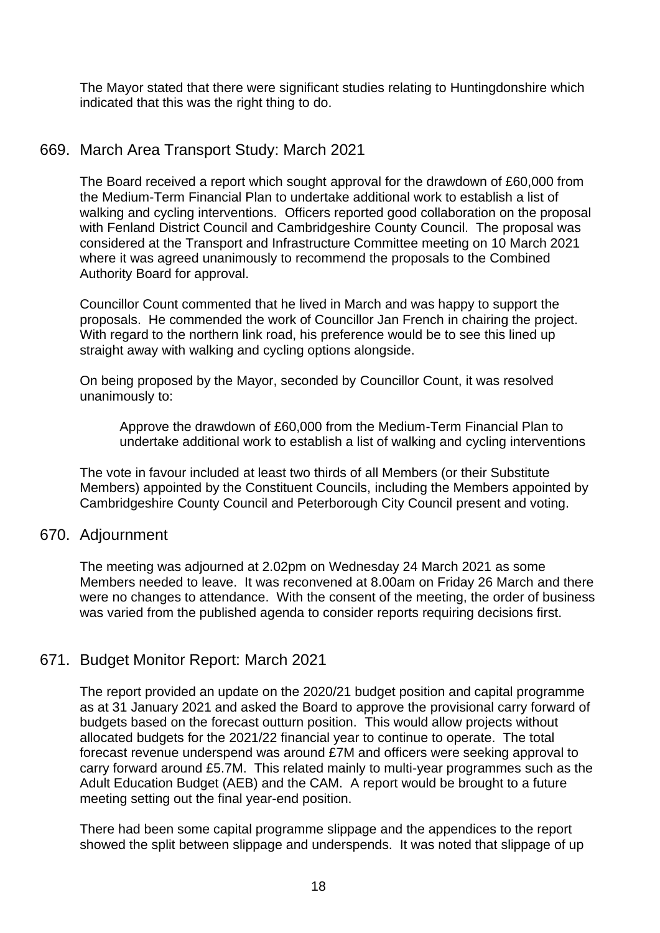The Mayor stated that there were significant studies relating to Huntingdonshire which indicated that this was the right thing to do.

# 669. March Area Transport Study: March 2021

The Board received a report which sought approval for the drawdown of £60,000 from the Medium-Term Financial Plan to undertake additional work to establish a list of walking and cycling interventions. Officers reported good collaboration on the proposal with Fenland District Council and Cambridgeshire County Council. The proposal was considered at the Transport and Infrastructure Committee meeting on 10 March 2021 where it was agreed unanimously to recommend the proposals to the Combined Authority Board for approval.

Councillor Count commented that he lived in March and was happy to support the proposals. He commended the work of Councillor Jan French in chairing the project. With regard to the northern link road, his preference would be to see this lined up straight away with walking and cycling options alongside.

On being proposed by the Mayor, seconded by Councillor Count, it was resolved unanimously to:

Approve the drawdown of £60,000 from the Medium-Term Financial Plan to undertake additional work to establish a list of walking and cycling interventions

The vote in favour included at least two thirds of all Members (or their Substitute Members) appointed by the Constituent Councils, including the Members appointed by Cambridgeshire County Council and Peterborough City Council present and voting.

#### 670. Adjournment

The meeting was adjourned at 2.02pm on Wednesday 24 March 2021 as some Members needed to leave. It was reconvened at 8.00am on Friday 26 March and there were no changes to attendance. With the consent of the meeting, the order of business was varied from the published agenda to consider reports requiring decisions first.

### 671. Budget Monitor Report: March 2021

The report provided an update on the 2020/21 budget position and capital programme as at 31 January 2021 and asked the Board to approve the provisional carry forward of budgets based on the forecast outturn position. This would allow projects without allocated budgets for the 2021/22 financial year to continue to operate. The total forecast revenue underspend was around £7M and officers were seeking approval to carry forward around £5.7M. This related mainly to multi-year programmes such as the Adult Education Budget (AEB) and the CAM. A report would be brought to a future meeting setting out the final year-end position.

There had been some capital programme slippage and the appendices to the report showed the split between slippage and underspends. It was noted that slippage of up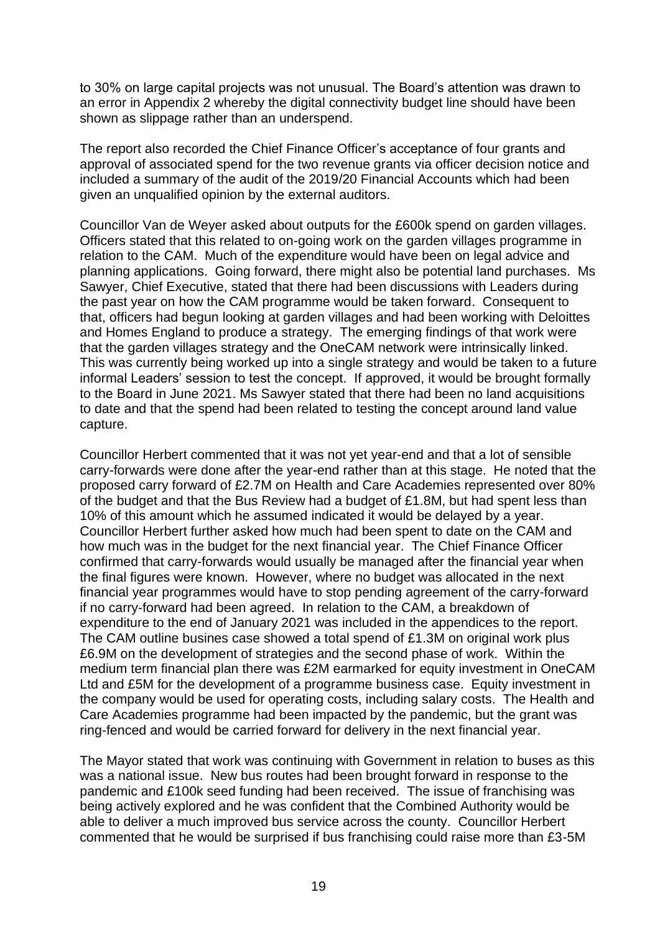to 30% on large capital projects was not unusual. The Board's attention was drawn to an error in Appendix 2 whereby the digital connectivity budget line should have been shown as slippage rather than an underspend.

The report also recorded the Chief Finance Officer's acceptance of four grants and approval of associated spend for the two revenue grants via officer decision notice and included a summary of the audit of the 2019/20 Financial Accounts which had been given an unqualified opinion by the external auditors.

Councillor Van de Weyer asked about outputs for the £600k spend on garden villages. Officers stated that this related to on-going work on the garden villages programme in relation to the CAM. Much of the expenditure would have been on legal advice and planning applications. Going forward, there might also be potential land purchases. Ms Sawyer, Chief Executive, stated that there had been discussions with Leaders during the past year on how the CAM programme would be taken forward. Consequent to that, officers had begun looking at garden villages and had been working with Deloittes and Homes England to produce a strategy. The emerging findings of that work were that the garden villages strategy and the OneCAM network were intrinsically linked. This was currently being worked up into a single strategy and would be taken to a future informal Leaders' session to test the concept. If approved, it would be brought formally to the Board in June 2021. Ms Sawyer stated that there had been no land acquisitions to date and that the spend had been related to testing the concept around land value capture.

Councillor Herbert commented that it was not yet year-end and that a lot of sensible carry-forwards were done after the year-end rather than at this stage. He noted that the proposed carry forward of £2.7M on Health and Care Academies represented over 80% of the budget and that the Bus Review had a budget of £1.8M, but had spent less than 10% of this amount which he assumed indicated it would be delayed by a year. Councillor Herbert further asked how much had been spent to date on the CAM and how much was in the budget for the next financial year. The Chief Finance Officer confirmed that carry-forwards would usually be managed after the financial year when the final figures were known. However, where no budget was allocated in the next financial year programmes would have to stop pending agreement of the carry-forward if no carry-forward had been agreed. In relation to the CAM, a breakdown of expenditure to the end of January 2021 was included in the appendices to the report. The CAM outline busines case showed a total spend of £1.3M on original work plus £6.9M on the development of strategies and the second phase of work. Within the medium term financial plan there was £2M earmarked for equity investment in OneCAM Ltd and £5M for the development of a programme business case. Equity investment in the company would be used for operating costs, including salary costs. The Health and Care Academies programme had been impacted by the pandemic, but the grant was ring-fenced and would be carried forward for delivery in the next financial year.

The Mayor stated that work was continuing with Government in relation to buses as this was a national issue. New bus routes had been brought forward in response to the pandemic and £100k seed funding had been received. The issue of franchising was being actively explored and he was confident that the Combined Authority would be able to deliver a much improved bus service across the county. Councillor Herbert commented that he would be surprised if bus franchising could raise more than £3-5M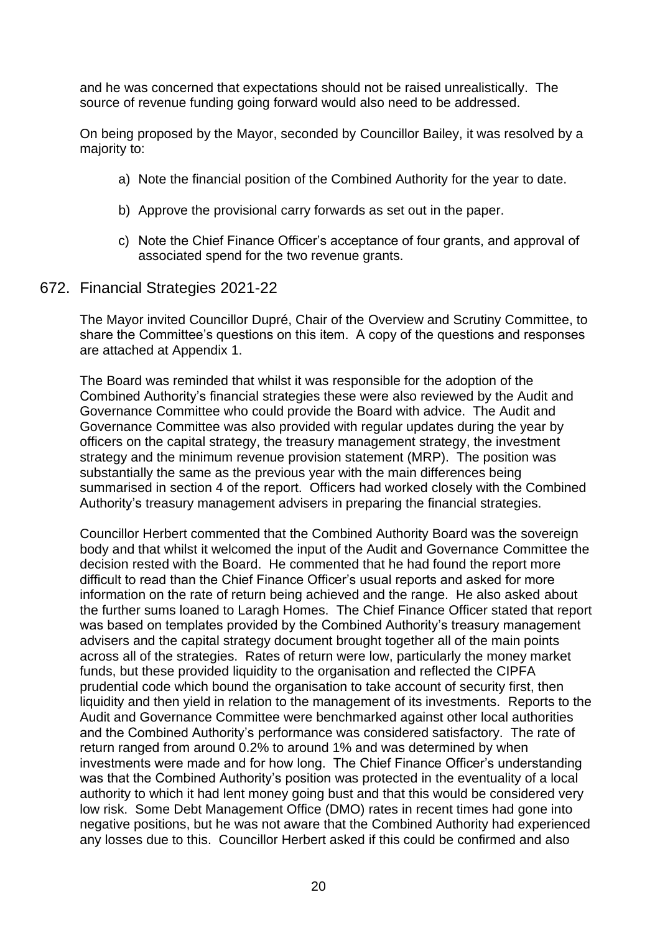and he was concerned that expectations should not be raised unrealistically. The source of revenue funding going forward would also need to be addressed.

On being proposed by the Mayor, seconded by Councillor Bailey, it was resolved by a majority to:

- a) Note the financial position of the Combined Authority for the year to date.
- b) Approve the provisional carry forwards as set out in the paper.
- c) Note the Chief Finance Officer's acceptance of four grants, and approval of associated spend for the two revenue grants.
- 672. Financial Strategies 2021-22

The Mayor invited Councillor Dupré, Chair of the Overview and Scrutiny Committee, to share the Committee's questions on this item. A copy of the questions and responses are attached at Appendix 1.

The Board was reminded that whilst it was responsible for the adoption of the Combined Authority's financial strategies these were also reviewed by the Audit and Governance Committee who could provide the Board with advice. The Audit and Governance Committee was also provided with regular updates during the year by officers on the capital strategy, the treasury management strategy, the investment strategy and the minimum revenue provision statement (MRP). The position was substantially the same as the previous year with the main differences being summarised in section 4 of the report. Officers had worked closely with the Combined Authority's treasury management advisers in preparing the financial strategies.

Councillor Herbert commented that the Combined Authority Board was the sovereign body and that whilst it welcomed the input of the Audit and Governance Committee the decision rested with the Board. He commented that he had found the report more difficult to read than the Chief Finance Officer's usual reports and asked for more information on the rate of return being achieved and the range. He also asked about the further sums loaned to Laragh Homes. The Chief Finance Officer stated that report was based on templates provided by the Combined Authority's treasury management advisers and the capital strategy document brought together all of the main points across all of the strategies. Rates of return were low, particularly the money market funds, but these provided liquidity to the organisation and reflected the CIPFA prudential code which bound the organisation to take account of security first, then liquidity and then yield in relation to the management of its investments. Reports to the Audit and Governance Committee were benchmarked against other local authorities and the Combined Authority's performance was considered satisfactory. The rate of return ranged from around 0.2% to around 1% and was determined by when investments were made and for how long. The Chief Finance Officer's understanding was that the Combined Authority's position was protected in the eventuality of a local authority to which it had lent money going bust and that this would be considered very low risk. Some Debt Management Office (DMO) rates in recent times had gone into negative positions, but he was not aware that the Combined Authority had experienced any losses due to this. Councillor Herbert asked if this could be confirmed and also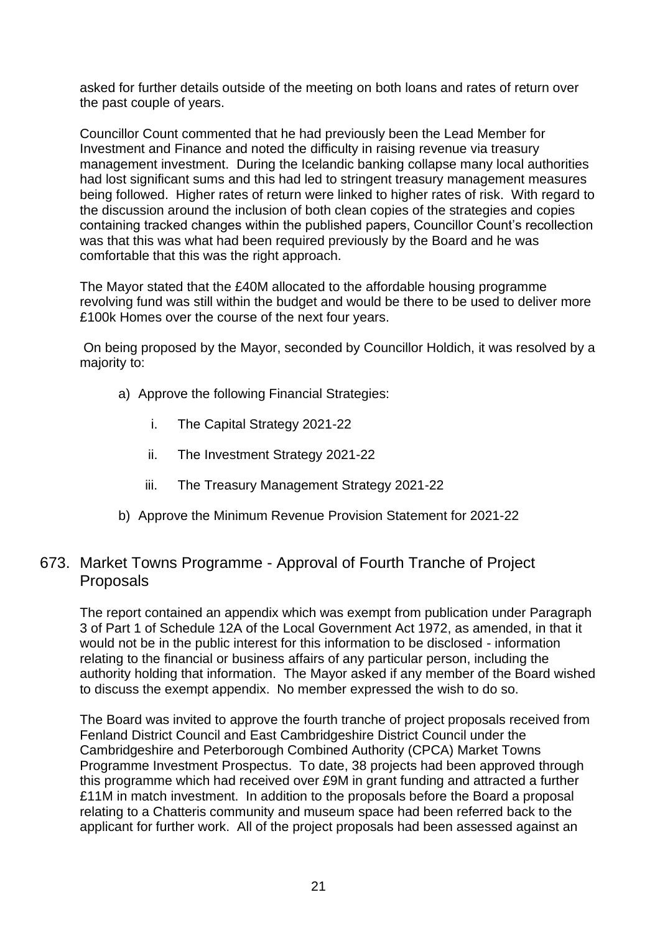asked for further details outside of the meeting on both loans and rates of return over the past couple of years.

Councillor Count commented that he had previously been the Lead Member for Investment and Finance and noted the difficulty in raising revenue via treasury management investment. During the Icelandic banking collapse many local authorities had lost significant sums and this had led to stringent treasury management measures being followed. Higher rates of return were linked to higher rates of risk. With regard to the discussion around the inclusion of both clean copies of the strategies and copies containing tracked changes within the published papers, Councillor Count's recollection was that this was what had been required previously by the Board and he was comfortable that this was the right approach.

The Mayor stated that the £40M allocated to the affordable housing programme revolving fund was still within the budget and would be there to be used to deliver more £100k Homes over the course of the next four years.

On being proposed by the Mayor, seconded by Councillor Holdich, it was resolved by a majority to:

- a) Approve the following Financial Strategies:
	- i. The Capital Strategy 2021-22
	- ii. The Investment Strategy 2021-22
	- iii. The Treasury Management Strategy 2021-22
- b) Approve the Minimum Revenue Provision Statement for 2021-22

# 673. Market Towns Programme - Approval of Fourth Tranche of Project Proposals

The report contained an appendix which was exempt from publication under Paragraph 3 of Part 1 of Schedule 12A of the Local Government Act 1972, as amended, in that it would not be in the public interest for this information to be disclosed - information relating to the financial or business affairs of any particular person, including the authority holding that information. The Mayor asked if any member of the Board wished to discuss the exempt appendix. No member expressed the wish to do so.

The Board was invited to approve the fourth tranche of project proposals received from Fenland District Council and East Cambridgeshire District Council under the Cambridgeshire and Peterborough Combined Authority (CPCA) Market Towns Programme Investment Prospectus. To date, 38 projects had been approved through this programme which had received over £9M in grant funding and attracted a further £11M in match investment. In addition to the proposals before the Board a proposal relating to a Chatteris community and museum space had been referred back to the applicant for further work. All of the project proposals had been assessed against an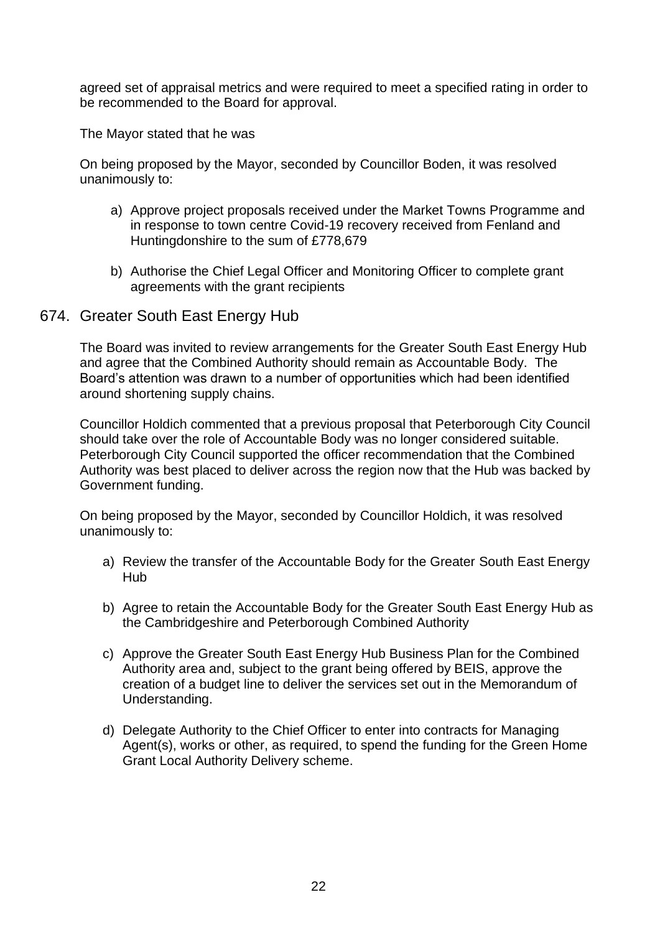agreed set of appraisal metrics and were required to meet a specified rating in order to be recommended to the Board for approval.

The Mayor stated that he was

On being proposed by the Mayor, seconded by Councillor Boden, it was resolved unanimously to:

- a) Approve project proposals received under the Market Towns Programme and in response to town centre Covid-19 recovery received from Fenland and Huntingdonshire to the sum of £778,679
- b) Authorise the Chief Legal Officer and Monitoring Officer to complete grant agreements with the grant recipients

### 674. Greater South East Energy Hub

The Board was invited to review arrangements for the Greater South East Energy Hub and agree that the Combined Authority should remain as Accountable Body. The Board's attention was drawn to a number of opportunities which had been identified around shortening supply chains.

Councillor Holdich commented that a previous proposal that Peterborough City Council should take over the role of Accountable Body was no longer considered suitable. Peterborough City Council supported the officer recommendation that the Combined Authority was best placed to deliver across the region now that the Hub was backed by Government funding.

On being proposed by the Mayor, seconded by Councillor Holdich, it was resolved unanimously to:

- a) Review the transfer of the Accountable Body for the Greater South East Energy Hub
- b) Agree to retain the Accountable Body for the Greater South East Energy Hub as the Cambridgeshire and Peterborough Combined Authority
- c) Approve the Greater South East Energy Hub Business Plan for the Combined Authority area and, subject to the grant being offered by BEIS, approve the creation of a budget line to deliver the services set out in the Memorandum of Understanding.
- d) Delegate Authority to the Chief Officer to enter into contracts for Managing Agent(s), works or other, as required, to spend the funding for the Green Home Grant Local Authority Delivery scheme.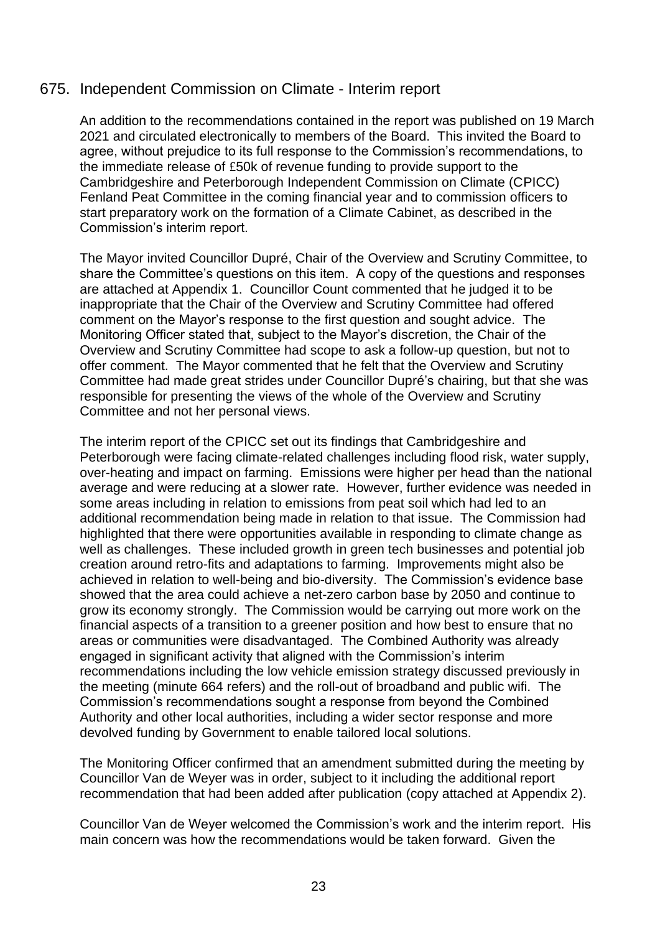### 675. Independent Commission on Climate - Interim report

An addition to the recommendations contained in the report was published on 19 March 2021 and circulated electronically to members of the Board. This invited the Board to agree, without prejudice to its full response to the Commission's recommendations, to the immediate release of £50k of revenue funding to provide support to the Cambridgeshire and Peterborough Independent Commission on Climate (CPICC) Fenland Peat Committee in the coming financial year and to commission officers to start preparatory work on the formation of a Climate Cabinet, as described in the Commission's interim report.

The Mayor invited Councillor Dupré, Chair of the Overview and Scrutiny Committee, to share the Committee's questions on this item. A copy of the questions and responses are attached at Appendix 1. Councillor Count commented that he judged it to be inappropriate that the Chair of the Overview and Scrutiny Committee had offered comment on the Mayor's response to the first question and sought advice. The Monitoring Officer stated that, subject to the Mayor's discretion, the Chair of the Overview and Scrutiny Committee had scope to ask a follow-up question, but not to offer comment. The Mayor commented that he felt that the Overview and Scrutiny Committee had made great strides under Councillor Dupré's chairing, but that she was responsible for presenting the views of the whole of the Overview and Scrutiny Committee and not her personal views.

The interim report of the CPICC set out its findings that Cambridgeshire and Peterborough were facing climate-related challenges including flood risk, water supply, over-heating and impact on farming. Emissions were higher per head than the national average and were reducing at a slower rate. However, further evidence was needed in some areas including in relation to emissions from peat soil which had led to an additional recommendation being made in relation to that issue. The Commission had highlighted that there were opportunities available in responding to climate change as well as challenges. These included growth in green tech businesses and potential job creation around retro-fits and adaptations to farming. Improvements might also be achieved in relation to well-being and bio-diversity. The Commission's evidence base showed that the area could achieve a net-zero carbon base by 2050 and continue to grow its economy strongly. The Commission would be carrying out more work on the financial aspects of a transition to a greener position and how best to ensure that no areas or communities were disadvantaged. The Combined Authority was already engaged in significant activity that aligned with the Commission's interim recommendations including the low vehicle emission strategy discussed previously in the meeting (minute 664 refers) and the roll-out of broadband and public wifi. The Commission's recommendations sought a response from beyond the Combined Authority and other local authorities, including a wider sector response and more devolved funding by Government to enable tailored local solutions.

The Monitoring Officer confirmed that an amendment submitted during the meeting by Councillor Van de Weyer was in order, subject to it including the additional report recommendation that had been added after publication (copy attached at Appendix 2).

Councillor Van de Weyer welcomed the Commission's work and the interim report. His main concern was how the recommendations would be taken forward. Given the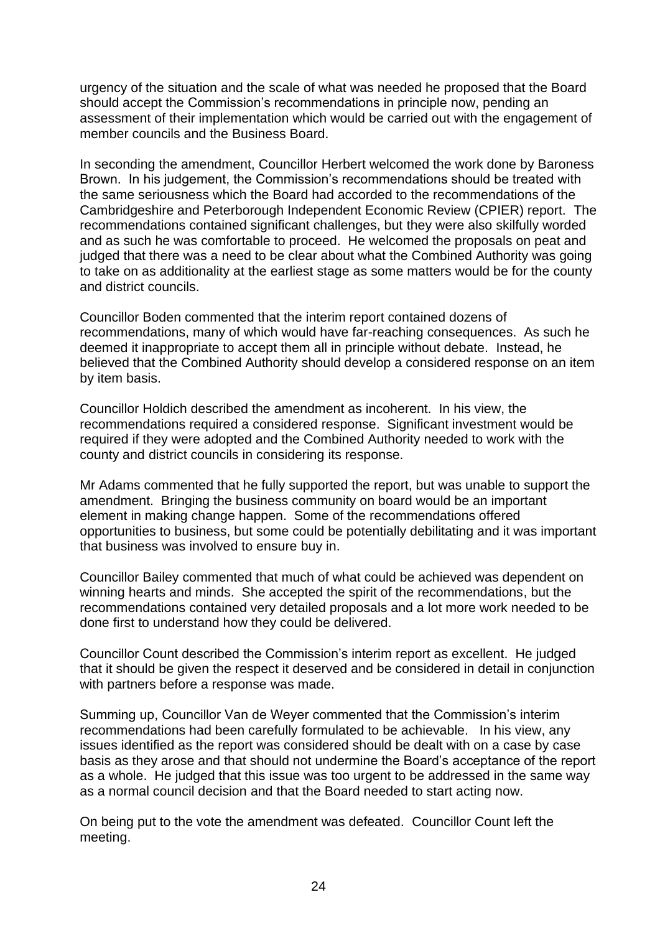urgency of the situation and the scale of what was needed he proposed that the Board should accept the Commission's recommendations in principle now, pending an assessment of their implementation which would be carried out with the engagement of member councils and the Business Board.

In seconding the amendment, Councillor Herbert welcomed the work done by Baroness Brown. In his judgement, the Commission's recommendations should be treated with the same seriousness which the Board had accorded to the recommendations of the Cambridgeshire and Peterborough Independent Economic Review (CPIER) report. The recommendations contained significant challenges, but they were also skilfully worded and as such he was comfortable to proceed. He welcomed the proposals on peat and judged that there was a need to be clear about what the Combined Authority was going to take on as additionality at the earliest stage as some matters would be for the county and district councils.

Councillor Boden commented that the interim report contained dozens of recommendations, many of which would have far-reaching consequences. As such he deemed it inappropriate to accept them all in principle without debate. Instead, he believed that the Combined Authority should develop a considered response on an item by item basis.

Councillor Holdich described the amendment as incoherent. In his view, the recommendations required a considered response. Significant investment would be required if they were adopted and the Combined Authority needed to work with the county and district councils in considering its response.

Mr Adams commented that he fully supported the report, but was unable to support the amendment. Bringing the business community on board would be an important element in making change happen. Some of the recommendations offered opportunities to business, but some could be potentially debilitating and it was important that business was involved to ensure buy in.

Councillor Bailey commented that much of what could be achieved was dependent on winning hearts and minds. She accepted the spirit of the recommendations, but the recommendations contained very detailed proposals and a lot more work needed to be done first to understand how they could be delivered.

Councillor Count described the Commission's interim report as excellent. He judged that it should be given the respect it deserved and be considered in detail in conjunction with partners before a response was made.

Summing up, Councillor Van de Weyer commented that the Commission's interim recommendations had been carefully formulated to be achievable. In his view, any issues identified as the report was considered should be dealt with on a case by case basis as they arose and that should not undermine the Board's acceptance of the report as a whole. He judged that this issue was too urgent to be addressed in the same way as a normal council decision and that the Board needed to start acting now.

On being put to the vote the amendment was defeated. Councillor Count left the meeting.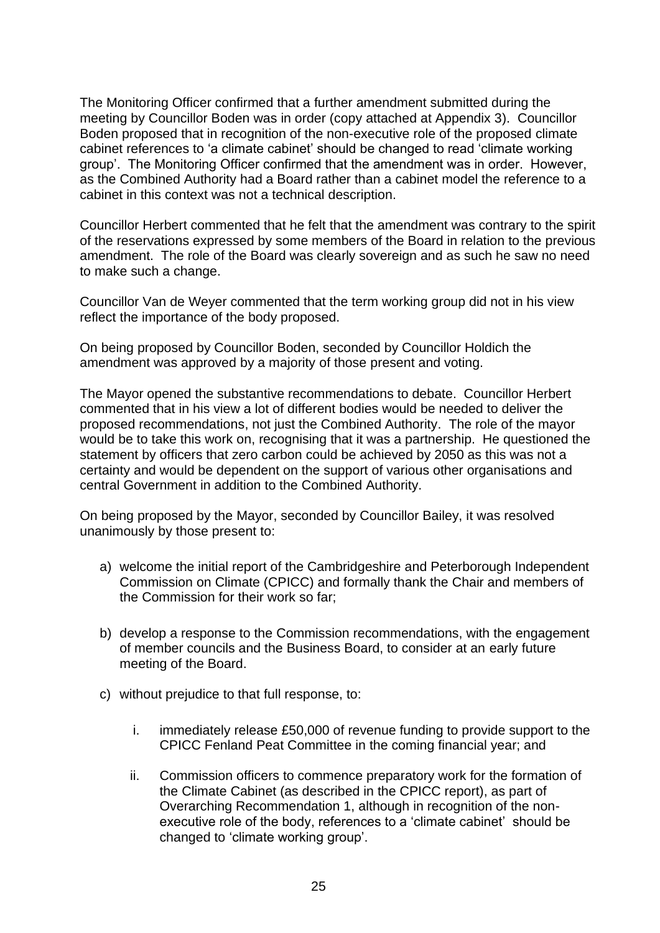The Monitoring Officer confirmed that a further amendment submitted during the meeting by Councillor Boden was in order (copy attached at Appendix 3). Councillor Boden proposed that in recognition of the non-executive role of the proposed climate cabinet references to 'a climate cabinet' should be changed to read 'climate working group'. The Monitoring Officer confirmed that the amendment was in order. However, as the Combined Authority had a Board rather than a cabinet model the reference to a cabinet in this context was not a technical description.

Councillor Herbert commented that he felt that the amendment was contrary to the spirit of the reservations expressed by some members of the Board in relation to the previous amendment. The role of the Board was clearly sovereign and as such he saw no need to make such a change.

Councillor Van de Weyer commented that the term working group did not in his view reflect the importance of the body proposed.

On being proposed by Councillor Boden, seconded by Councillor Holdich the amendment was approved by a majority of those present and voting.

The Mayor opened the substantive recommendations to debate. Councillor Herbert commented that in his view a lot of different bodies would be needed to deliver the proposed recommendations, not just the Combined Authority. The role of the mayor would be to take this work on, recognising that it was a partnership. He questioned the statement by officers that zero carbon could be achieved by 2050 as this was not a certainty and would be dependent on the support of various other organisations and central Government in addition to the Combined Authority.

On being proposed by the Mayor, seconded by Councillor Bailey, it was resolved unanimously by those present to:

- a) welcome the initial report of the Cambridgeshire and Peterborough Independent Commission on Climate (CPICC) and formally thank the Chair and members of the Commission for their work so far;
- b) develop a response to the Commission recommendations, with the engagement of member councils and the Business Board, to consider at an early future meeting of the Board.
- c) without prejudice to that full response, to:
	- i. immediately release £50,000 of revenue funding to provide support to the CPICC Fenland Peat Committee in the coming financial year; and
	- ii. Commission officers to commence preparatory work for the formation of the Climate Cabinet (as described in the CPICC report), as part of Overarching Recommendation 1, although in recognition of the nonexecutive role of the body, references to a 'climate cabinet' should be changed to 'climate working group'.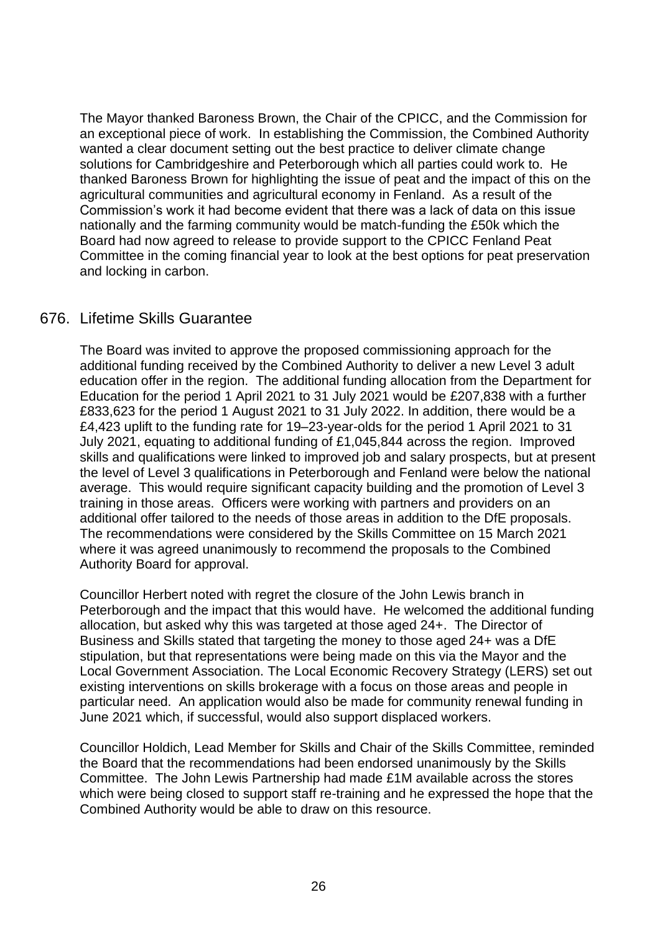The Mayor thanked Baroness Brown, the Chair of the CPICC, and the Commission for an exceptional piece of work. In establishing the Commission, the Combined Authority wanted a clear document setting out the best practice to deliver climate change solutions for Cambridgeshire and Peterborough which all parties could work to. He thanked Baroness Brown for highlighting the issue of peat and the impact of this on the agricultural communities and agricultural economy in Fenland. As a result of the Commission's work it had become evident that there was a lack of data on this issue nationally and the farming community would be match-funding the £50k which the Board had now agreed to release to provide support to the CPICC Fenland Peat Committee in the coming financial year to look at the best options for peat preservation and locking in carbon.

### 676. Lifetime Skills Guarantee

The Board was invited to approve the proposed commissioning approach for the additional funding received by the Combined Authority to deliver a new Level 3 adult education offer in the region. The additional funding allocation from the Department for Education for the period 1 April 2021 to 31 July 2021 would be £207,838 with a further £833,623 for the period 1 August 2021 to 31 July 2022. In addition, there would be a £4,423 uplift to the funding rate for 19–23-year-olds for the period 1 April 2021 to 31 July 2021, equating to additional funding of £1,045,844 across the region. Improved skills and qualifications were linked to improved job and salary prospects, but at present the level of Level 3 qualifications in Peterborough and Fenland were below the national average. This would require significant capacity building and the promotion of Level 3 training in those areas. Officers were working with partners and providers on an additional offer tailored to the needs of those areas in addition to the DfE proposals. The recommendations were considered by the Skills Committee on 15 March 2021 where it was agreed unanimously to recommend the proposals to the Combined Authority Board for approval.

Councillor Herbert noted with regret the closure of the John Lewis branch in Peterborough and the impact that this would have. He welcomed the additional funding allocation, but asked why this was targeted at those aged 24+. The Director of Business and Skills stated that targeting the money to those aged 24+ was a DfE stipulation, but that representations were being made on this via the Mayor and the Local Government Association. The Local Economic Recovery Strategy (LERS) set out existing interventions on skills brokerage with a focus on those areas and people in particular need. An application would also be made for community renewal funding in June 2021 which, if successful, would also support displaced workers.

Councillor Holdich, Lead Member for Skills and Chair of the Skills Committee, reminded the Board that the recommendations had been endorsed unanimously by the Skills Committee. The John Lewis Partnership had made £1M available across the stores which were being closed to support staff re-training and he expressed the hope that the Combined Authority would be able to draw on this resource.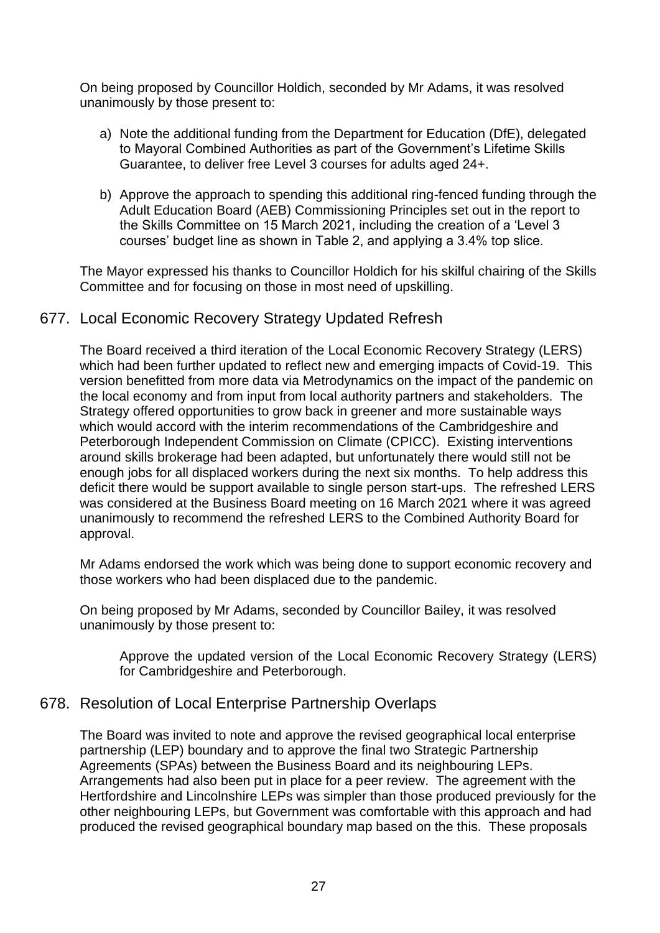On being proposed by Councillor Holdich, seconded by Mr Adams, it was resolved unanimously by those present to:

- a) Note the additional funding from the Department for Education (DfE), delegated to Mayoral Combined Authorities as part of the Government's Lifetime Skills Guarantee, to deliver free Level 3 courses for adults aged 24+.
- b) Approve the approach to spending this additional ring-fenced funding through the Adult Education Board (AEB) Commissioning Principles set out in the report to the Skills Committee on 15 March 2021, including the creation of a 'Level 3 courses' budget line as shown in Table 2, and applying a 3.4% top slice.

The Mayor expressed his thanks to Councillor Holdich for his skilful chairing of the Skills Committee and for focusing on those in most need of upskilling.

# 677. Local Economic Recovery Strategy Updated Refresh

The Board received a third iteration of the Local Economic Recovery Strategy (LERS) which had been further updated to reflect new and emerging impacts of Covid-19. This version benefitted from more data via Metrodynamics on the impact of the pandemic on the local economy and from input from local authority partners and stakeholders. The Strategy offered opportunities to grow back in greener and more sustainable ways which would accord with the interim recommendations of the Cambridgeshire and Peterborough Independent Commission on Climate (CPICC). Existing interventions around skills brokerage had been adapted, but unfortunately there would still not be enough jobs for all displaced workers during the next six months. To help address this deficit there would be support available to single person start-ups. The refreshed LERS was considered at the Business Board meeting on 16 March 2021 where it was agreed unanimously to recommend the refreshed LERS to the Combined Authority Board for approval.

Mr Adams endorsed the work which was being done to support economic recovery and those workers who had been displaced due to the pandemic.

On being proposed by Mr Adams, seconded by Councillor Bailey, it was resolved unanimously by those present to:

Approve the updated version of the Local Economic Recovery Strategy (LERS) for Cambridgeshire and Peterborough.

### 678. Resolution of Local Enterprise Partnership Overlaps

The Board was invited to note and approve the revised geographical local enterprise partnership (LEP) boundary and to approve the final two Strategic Partnership Agreements (SPAs) between the Business Board and its neighbouring LEPs. Arrangements had also been put in place for a peer review. The agreement with the Hertfordshire and Lincolnshire LEPs was simpler than those produced previously for the other neighbouring LEPs, but Government was comfortable with this approach and had produced the revised geographical boundary map based on the this. These proposals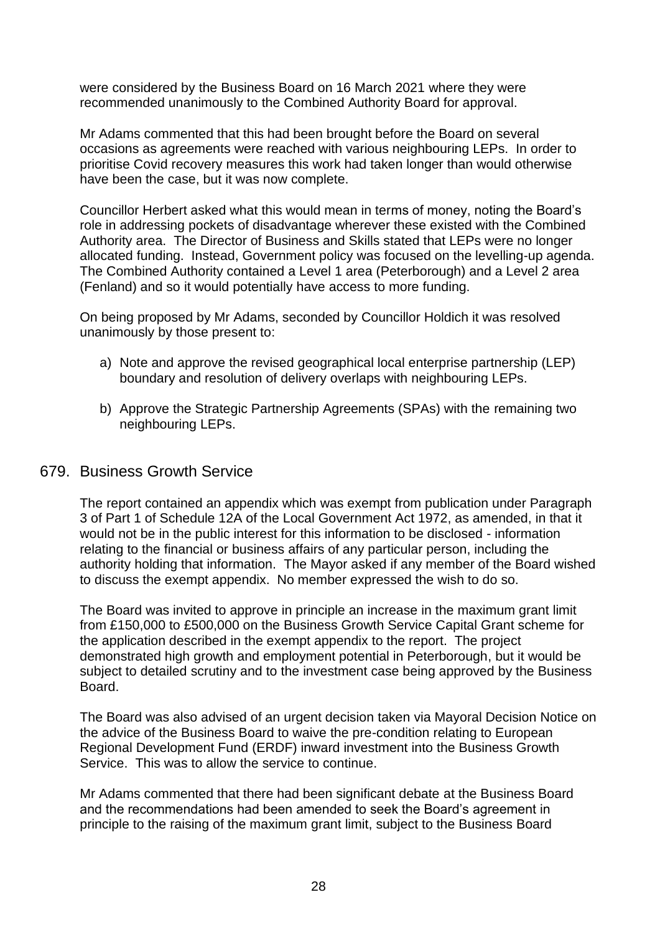were considered by the Business Board on 16 March 2021 where they were recommended unanimously to the Combined Authority Board for approval.

Mr Adams commented that this had been brought before the Board on several occasions as agreements were reached with various neighbouring LEPs. In order to prioritise Covid recovery measures this work had taken longer than would otherwise have been the case, but it was now complete.

Councillor Herbert asked what this would mean in terms of money, noting the Board's role in addressing pockets of disadvantage wherever these existed with the Combined Authority area. The Director of Business and Skills stated that LEPs were no longer allocated funding. Instead, Government policy was focused on the levelling-up agenda. The Combined Authority contained a Level 1 area (Peterborough) and a Level 2 area (Fenland) and so it would potentially have access to more funding.

On being proposed by Mr Adams, seconded by Councillor Holdich it was resolved unanimously by those present to:

- a) Note and approve the revised geographical local enterprise partnership (LEP) boundary and resolution of delivery overlaps with neighbouring LEPs.
- b) Approve the Strategic Partnership Agreements (SPAs) with the remaining two neighbouring LEPs.

### 679. Business Growth Service

The report contained an appendix which was exempt from publication under Paragraph 3 of Part 1 of Schedule 12A of the Local Government Act 1972, as amended, in that it would not be in the public interest for this information to be disclosed - information relating to the financial or business affairs of any particular person, including the authority holding that information. The Mayor asked if any member of the Board wished to discuss the exempt appendix. No member expressed the wish to do so.

The Board was invited to approve in principle an increase in the maximum grant limit from £150,000 to £500,000 on the Business Growth Service Capital Grant scheme for the application described in the exempt appendix to the report. The project demonstrated high growth and employment potential in Peterborough, but it would be subject to detailed scrutiny and to the investment case being approved by the Business Board.

The Board was also advised of an urgent decision taken via Mayoral Decision Notice on the advice of the Business Board to waive the pre-condition relating to European Regional Development Fund (ERDF) inward investment into the Business Growth Service. This was to allow the service to continue.

Mr Adams commented that there had been significant debate at the Business Board and the recommendations had been amended to seek the Board's agreement in principle to the raising of the maximum grant limit, subject to the Business Board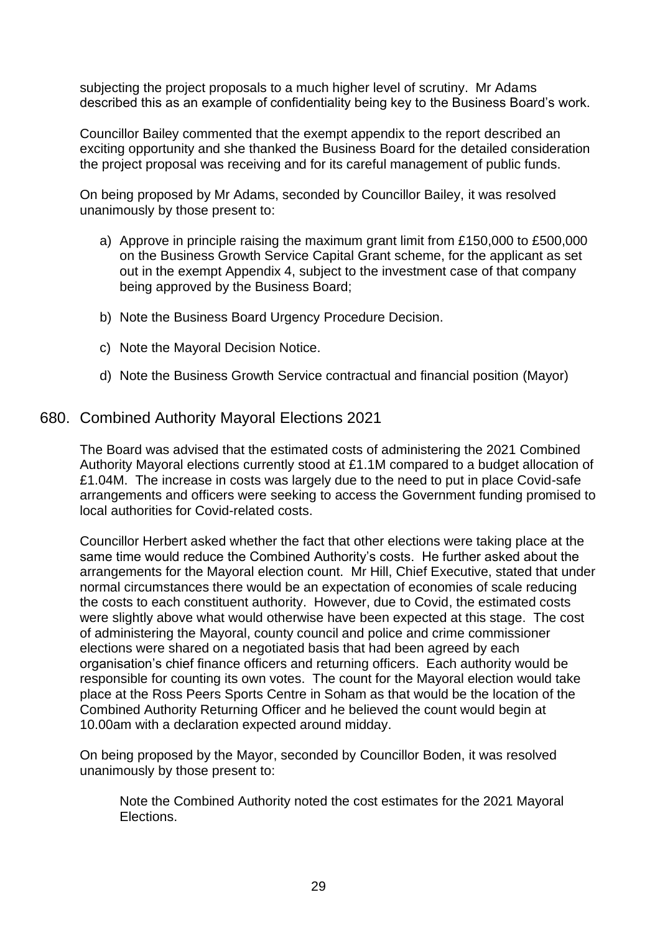subjecting the project proposals to a much higher level of scrutiny. Mr Adams described this as an example of confidentiality being key to the Business Board's work.

Councillor Bailey commented that the exempt appendix to the report described an exciting opportunity and she thanked the Business Board for the detailed consideration the project proposal was receiving and for its careful management of public funds.

On being proposed by Mr Adams, seconded by Councillor Bailey, it was resolved unanimously by those present to:

- a) Approve in principle raising the maximum grant limit from £150,000 to £500,000 on the Business Growth Service Capital Grant scheme, for the applicant as set out in the exempt Appendix 4, subject to the investment case of that company being approved by the Business Board;
- b) Note the Business Board Urgency Procedure Decision.
- c) Note the Mayoral Decision Notice.
- d) Note the Business Growth Service contractual and financial position (Mayor)

#### 680. Combined Authority Mayoral Elections 2021

The Board was advised that the estimated costs of administering the 2021 Combined Authority Mayoral elections currently stood at £1.1M compared to a budget allocation of £1.04M. The increase in costs was largely due to the need to put in place Covid-safe arrangements and officers were seeking to access the Government funding promised to local authorities for Covid-related costs.

Councillor Herbert asked whether the fact that other elections were taking place at the same time would reduce the Combined Authority's costs. He further asked about the arrangements for the Mayoral election count. Mr Hill, Chief Executive, stated that under normal circumstances there would be an expectation of economies of scale reducing the costs to each constituent authority. However, due to Covid, the estimated costs were slightly above what would otherwise have been expected at this stage. The cost of administering the Mayoral, county council and police and crime commissioner elections were shared on a negotiated basis that had been agreed by each organisation's chief finance officers and returning officers. Each authority would be responsible for counting its own votes. The count for the Mayoral election would take place at the Ross Peers Sports Centre in Soham as that would be the location of the Combined Authority Returning Officer and he believed the count would begin at 10.00am with a declaration expected around midday.

On being proposed by the Mayor, seconded by Councillor Boden, it was resolved unanimously by those present to:

Note the Combined Authority noted the cost estimates for the 2021 Mayoral Elections.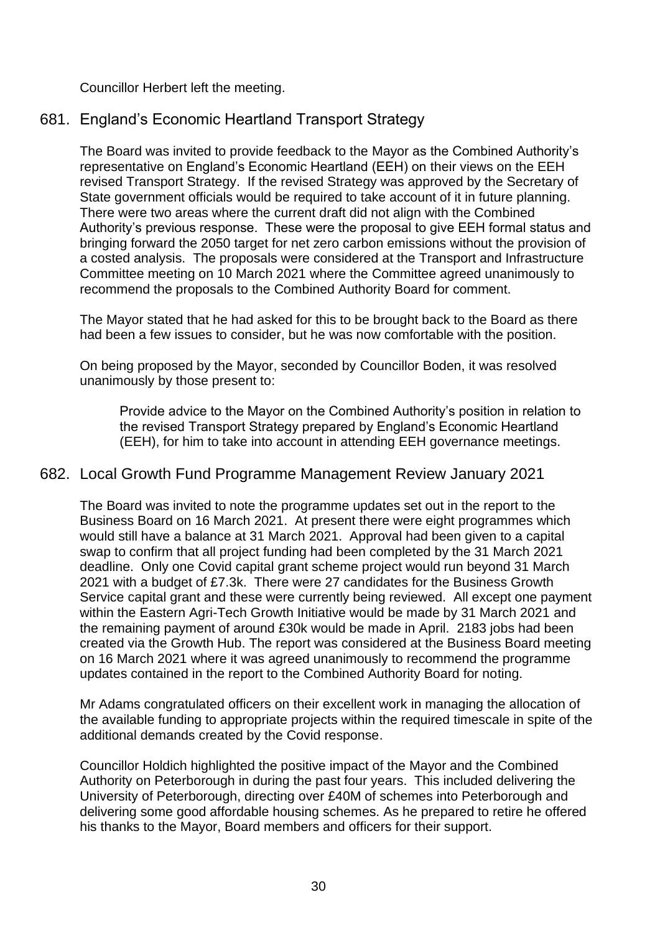Councillor Herbert left the meeting.

# 681. England's Economic Heartland Transport Strategy

The Board was invited to provide feedback to the Mayor as the Combined Authority's representative on England's Economic Heartland (EEH) on their views on the EEH revised Transport Strategy. If the revised Strategy was approved by the Secretary of State government officials would be required to take account of it in future planning. There were two areas where the current draft did not align with the Combined Authority's previous response. These were the proposal to give EEH formal status and bringing forward the 2050 target for net zero carbon emissions without the provision of a costed analysis. The proposals were considered at the Transport and Infrastructure Committee meeting on 10 March 2021 where the Committee agreed unanimously to recommend the proposals to the Combined Authority Board for comment.

The Mayor stated that he had asked for this to be brought back to the Board as there had been a few issues to consider, but he was now comfortable with the position.

On being proposed by the Mayor, seconded by Councillor Boden, it was resolved unanimously by those present to:

Provide advice to the Mayor on the Combined Authority's position in relation to the revised Transport Strategy prepared by England's Economic Heartland (EEH), for him to take into account in attending EEH governance meetings.

# 682. Local Growth Fund Programme Management Review January 2021

The Board was invited to note the programme updates set out in the report to the Business Board on 16 March 2021. At present there were eight programmes which would still have a balance at 31 March 2021. Approval had been given to a capital swap to confirm that all project funding had been completed by the 31 March 2021 deadline. Only one Covid capital grant scheme project would run beyond 31 March 2021 with a budget of £7.3k. There were 27 candidates for the Business Growth Service capital grant and these were currently being reviewed. All except one payment within the Eastern Agri-Tech Growth Initiative would be made by 31 March 2021 and the remaining payment of around £30k would be made in April. 2183 jobs had been created via the Growth Hub. The report was considered at the Business Board meeting on 16 March 2021 where it was agreed unanimously to recommend the programme updates contained in the report to the Combined Authority Board for noting.

Mr Adams congratulated officers on their excellent work in managing the allocation of the available funding to appropriate projects within the required timescale in spite of the additional demands created by the Covid response.

Councillor Holdich highlighted the positive impact of the Mayor and the Combined Authority on Peterborough in during the past four years. This included delivering the University of Peterborough, directing over £40M of schemes into Peterborough and delivering some good affordable housing schemes. As he prepared to retire he offered his thanks to the Mayor, Board members and officers for their support.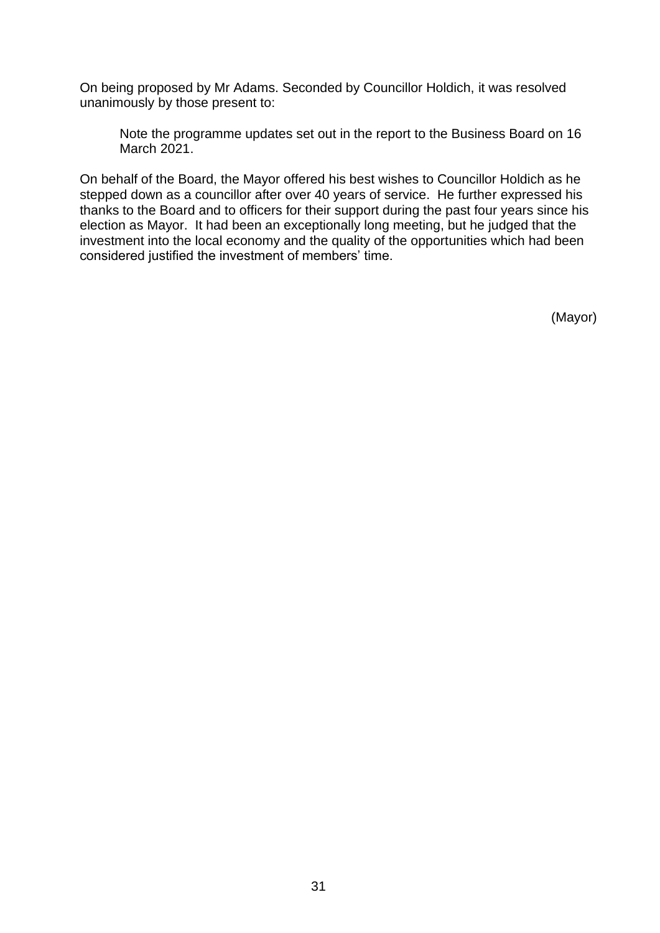On being proposed by Mr Adams. Seconded by Councillor Holdich, it was resolved unanimously by those present to:

Note the programme updates set out in the report to the Business Board on 16 March 2021.

On behalf of the Board, the Mayor offered his best wishes to Councillor Holdich as he stepped down as a councillor after over 40 years of service. He further expressed his thanks to the Board and to officers for their support during the past four years since his election as Mayor. It had been an exceptionally long meeting, but he judged that the investment into the local economy and the quality of the opportunities which had been considered justified the investment of members' time.

(Mayor)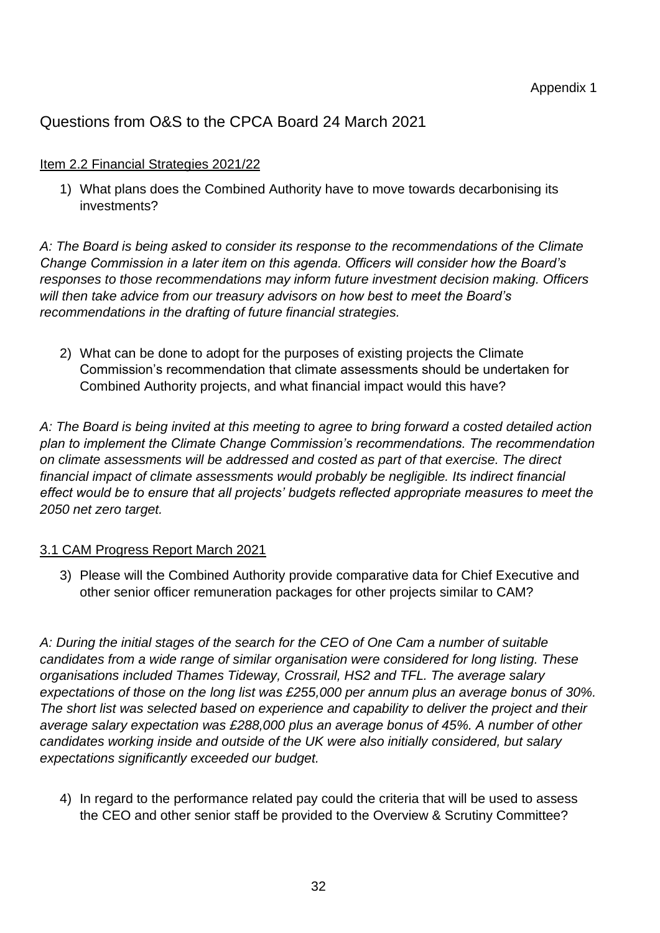# Questions from O&S to the CPCA Board 24 March 2021

#### Item 2.2 Financial Strategies 2021/22

1) What plans does the Combined Authority have to move towards decarbonising its investments?

*A: The Board is being asked to consider its response to the recommendations of the Climate Change Commission in a later item on this agenda. Officers will consider how the Board's responses to those recommendations may inform future investment decision making. Officers will then take advice from our treasury advisors on how best to meet the Board's recommendations in the drafting of future financial strategies.*

2) What can be done to adopt for the purposes of existing projects the Climate Commission's recommendation that climate assessments should be undertaken for Combined Authority projects, and what financial impact would this have?

*A: The Board is being invited at this meeting to agree to bring forward a costed detailed action plan to implement the Climate Change Commission's recommendations. The recommendation on climate assessments will be addressed and costed as part of that exercise. The direct financial impact of climate assessments would probably be negligible. Its indirect financial effect would be to ensure that all projects' budgets reflected appropriate measures to meet the 2050 net zero target.* 

### 3.1 CAM Progress Report March 2021

3) Please will the Combined Authority provide comparative data for Chief Executive and other senior officer remuneration packages for other projects similar to CAM?

*A: During the initial stages of the search for the CEO of One Cam a number of suitable candidates from a wide range of similar organisation were considered for long listing. These organisations included Thames Tideway, Crossrail, HS2 and TFL. The average salary expectations of those on the long list was £255,000 per annum plus an average bonus of 30%. The short list was selected based on experience and capability to deliver the project and their average salary expectation was £288,000 plus an average bonus of 45%. A number of other candidates working inside and outside of the UK were also initially considered, but salary expectations significantly exceeded our budget.*

4) In regard to the performance related pay could the criteria that will be used to assess the CEO and other senior staff be provided to the Overview & Scrutiny Committee?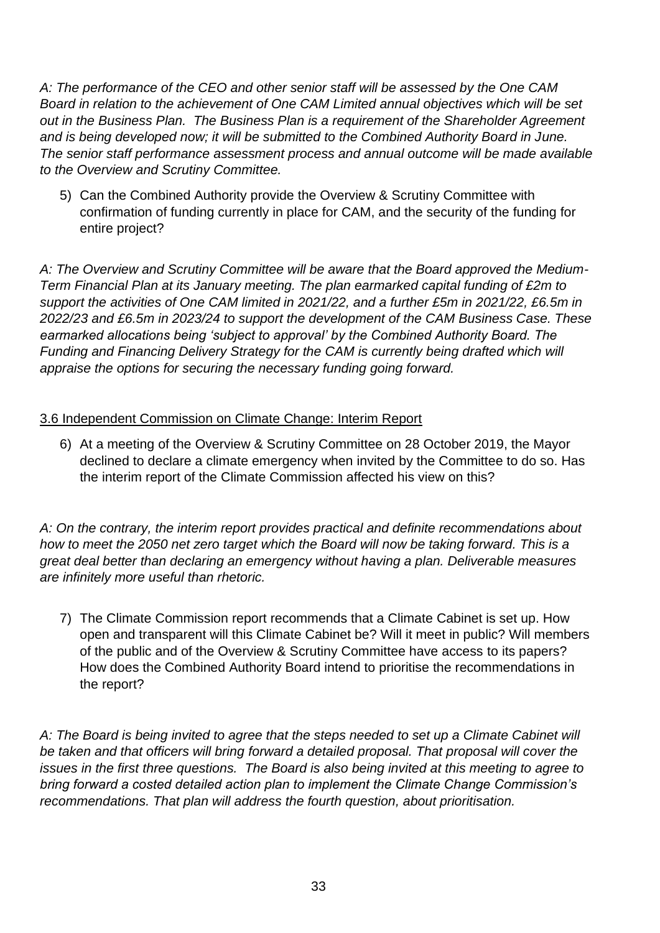*A: The performance of the CEO and other senior staff will be assessed by the One CAM Board in relation to the achievement of One CAM Limited annual objectives which will be set out in the Business Plan. The Business Plan is a requirement of the Shareholder Agreement and is being developed now; it will be submitted to the Combined Authority Board in June. The senior staff performance assessment process and annual outcome will be made available to the Overview and Scrutiny Committee.*

5) Can the Combined Authority provide the Overview & Scrutiny Committee with confirmation of funding currently in place for CAM, and the security of the funding for entire project?

*A: The Overview and Scrutiny Committee will be aware that the Board approved the Medium-Term Financial Plan at its January meeting. The plan earmarked capital funding of £2m to support the activities of One CAM limited in 2021/22, and a further £5m in 2021/22, £6.5m in 2022/23 and £6.5m in 2023/24 to support the development of the CAM Business Case. These earmarked allocations being 'subject to approval' by the Combined Authority Board. The Funding and Financing Delivery Strategy for the CAM is currently being drafted which will appraise the options for securing the necessary funding going forward.*

## 3.6 Independent Commission on Climate Change: Interim Report

6) At a meeting of the Overview & Scrutiny Committee on 28 October 2019, the Mayor declined to declare a climate emergency when invited by the Committee to do so. Has the interim report of the Climate Commission affected his view on this?

*A: On the contrary, the interim report provides practical and definite recommendations about how to meet the 2050 net zero target which the Board will now be taking forward. This is a great deal better than declaring an emergency without having a plan. Deliverable measures are infinitely more useful than rhetoric.*

7) The Climate Commission report recommends that a Climate Cabinet is set up. How open and transparent will this Climate Cabinet be? Will it meet in public? Will members of the public and of the Overview & Scrutiny Committee have access to its papers? How does the Combined Authority Board intend to prioritise the recommendations in the report?

*A: The Board is being invited to agree that the steps needed to set up a Climate Cabinet will be taken and that officers will bring forward a detailed proposal. That proposal will cover the issues in the first three questions. The Board is also being invited at this meeting to agree to bring forward a costed detailed action plan to implement the Climate Change Commission's recommendations. That plan will address the fourth question, about prioritisation.*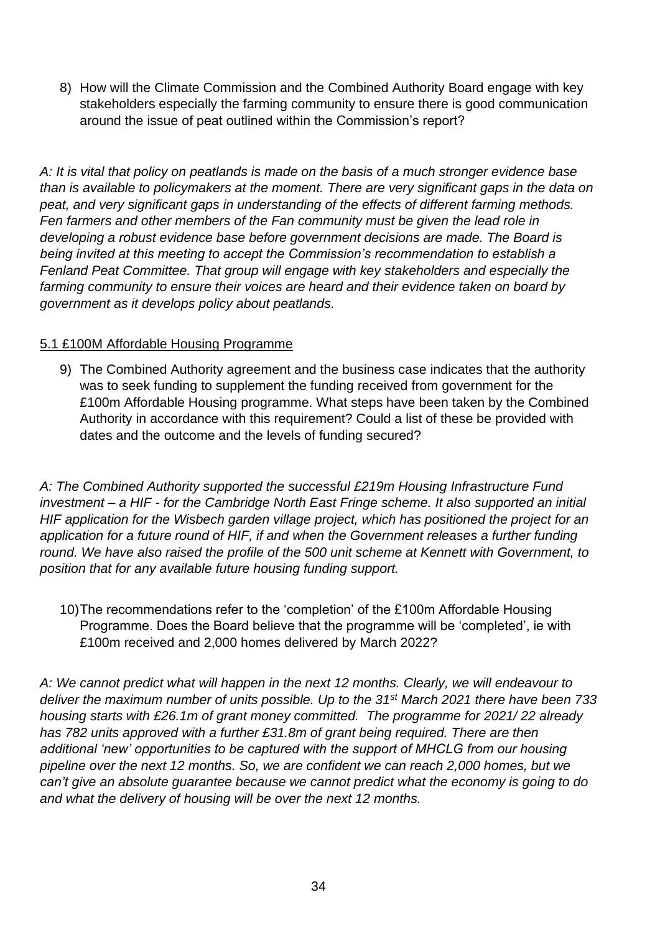8) How will the Climate Commission and the Combined Authority Board engage with key stakeholders especially the farming community to ensure there is good communication around the issue of peat outlined within the Commission's report?

*A: It is vital that policy on peatlands is made on the basis of a much stronger evidence base than is available to policymakers at the moment. There are very significant gaps in the data on peat, and very significant gaps in understanding of the effects of different farming methods. Fen farmers and other members of the Fan community must be given the lead role in developing a robust evidence base before government decisions are made. The Board is being invited at this meeting to accept the Commission's recommendation to establish a Fenland Peat Committee. That group will engage with key stakeholders and especially the farming community to ensure their voices are heard and their evidence taken on board by government as it develops policy about peatlands.* 

## 5.1 £100M Affordable Housing Programme

9) The Combined Authority agreement and the business case indicates that the authority was to seek funding to supplement the funding received from government for the £100m Affordable Housing programme. What steps have been taken by the Combined Authority in accordance with this requirement? Could a list of these be provided with dates and the outcome and the levels of funding secured?

*A: The Combined Authority supported the successful £219m Housing Infrastructure Fund investment – a HIF - for the Cambridge North East Fringe scheme. It also supported an initial HIF application for the Wisbech garden village project, which has positioned the project for an application for a future round of HIF, if and when the Government releases a further funding round. We have also raised the profile of the 500 unit scheme at Kennett with Government, to position that for any available future housing funding support.*

10)The recommendations refer to the 'completion' of the £100m Affordable Housing Programme. Does the Board believe that the programme will be 'completed', ie with £100m received and 2,000 homes delivered by March 2022?

*A: We cannot predict what will happen in the next 12 months. Clearly, we will endeavour to deliver the maximum number of units possible. Up to the 31st March 2021 there have been 733 housing starts with £26.1m of grant money committed. The programme for 2021/ 22 already has 782 units approved with a further £31.8m of grant being required. There are then additional 'new' opportunities to be captured with the support of MHCLG from our housing pipeline over the next 12 months. So, we are confident we can reach 2,000 homes, but we can't give an absolute guarantee because we cannot predict what the economy is going to do and what the delivery of housing will be over the next 12 months.*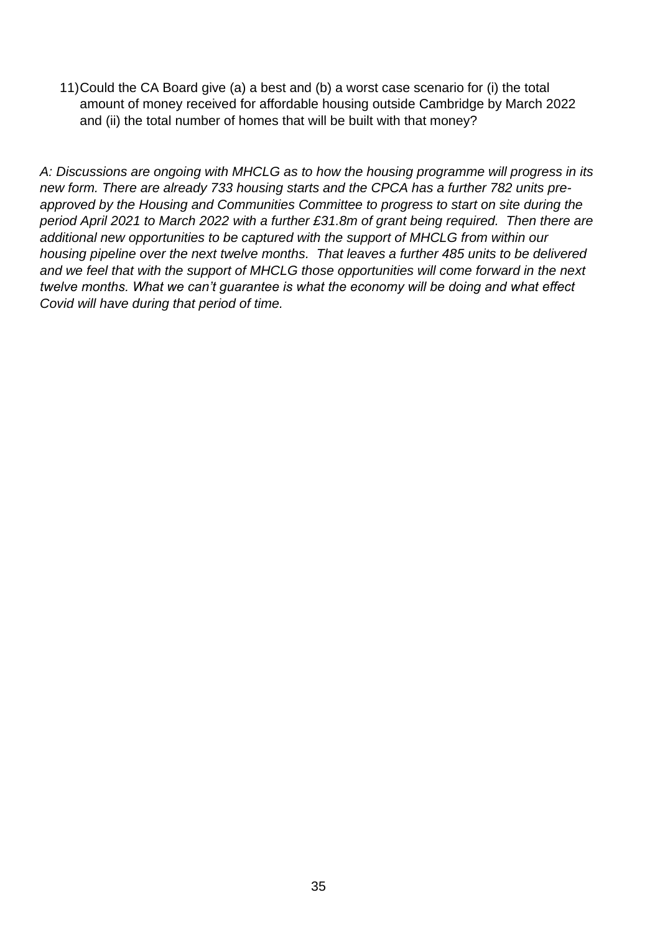11)Could the CA Board give (a) a best and (b) a worst case scenario for (i) the total amount of money received for affordable housing outside Cambridge by March 2022 and (ii) the total number of homes that will be built with that money?

*A: Discussions are ongoing with MHCLG as to how the housing programme will progress in its new form. There are already 733 housing starts and the CPCA has a further 782 units preapproved by the Housing and Communities Committee to progress to start on site during the period April 2021 to March 2022 with a further £31.8m of grant being required. Then there are additional new opportunities to be captured with the support of MHCLG from within our housing pipeline over the next twelve months. That leaves a further 485 units to be delivered and we feel that with the support of MHCLG those opportunities will come forward in the next twelve months. What we can't guarantee is what the economy will be doing and what effect Covid will have during that period of time.*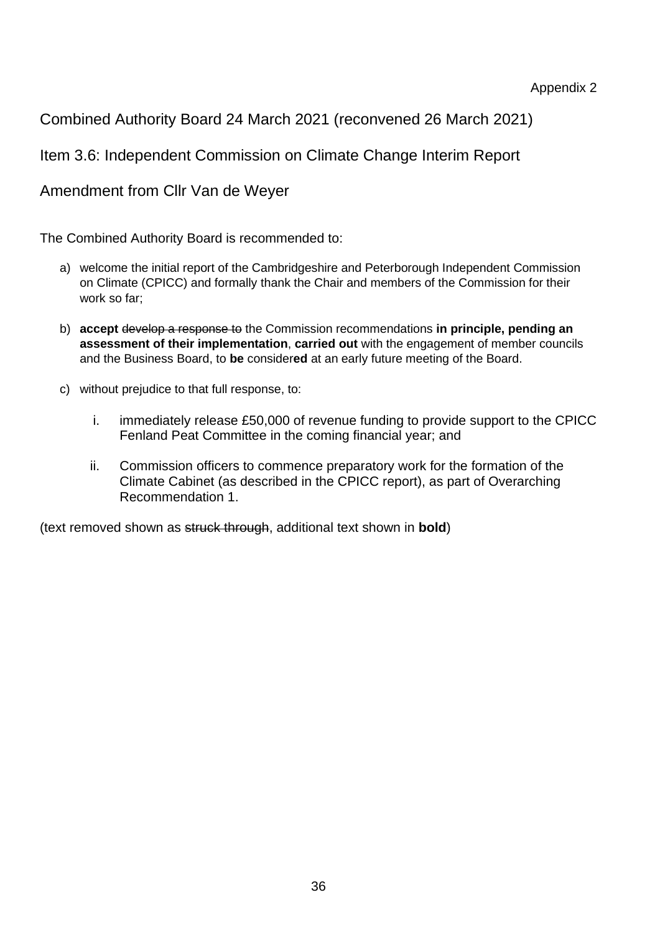Combined Authority Board 24 March 2021 (reconvened 26 March 2021)

Item 3.6: Independent Commission on Climate Change Interim Report

Amendment from Cllr Van de Weyer

The Combined Authority Board is recommended to:

- a) welcome the initial report of the Cambridgeshire and Peterborough Independent Commission on Climate (CPICC) and formally thank the Chair and members of the Commission for their work so far;
- b) **accept** develop a response to the Commission recommendations **in principle, pending an assessment of their implementation**, **carried out** with the engagement of member councils and the Business Board, to **be** consider**ed** at an early future meeting of the Board.
- c) without prejudice to that full response, to:
	- i. immediately release £50,000 of revenue funding to provide support to the CPICC Fenland Peat Committee in the coming financial year; and
	- ii. Commission officers to commence preparatory work for the formation of the Climate Cabinet (as described in the CPICC report), as part of Overarching Recommendation 1.

(text removed shown as struck through, additional text shown in **bold**)